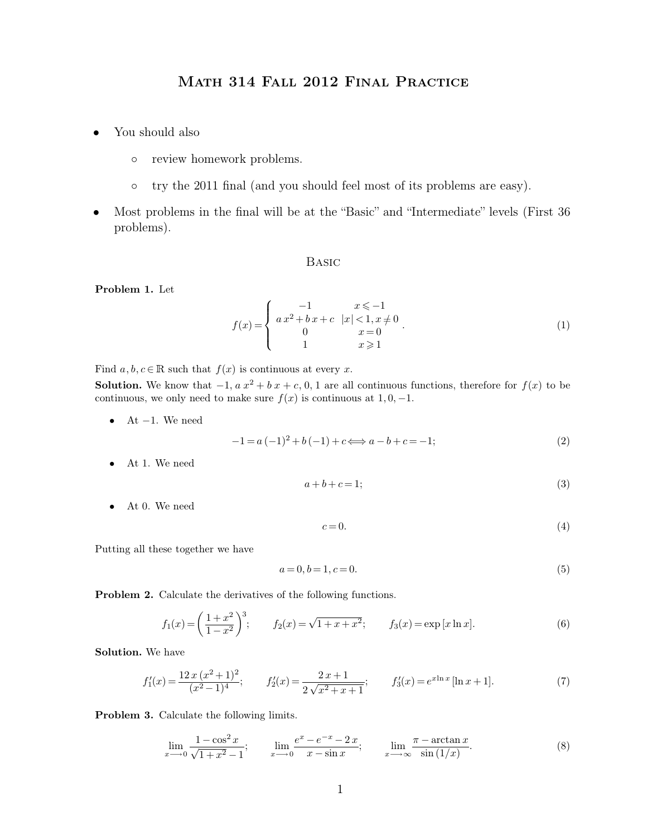# Math 314 Fall 2012 Final Practice

- You should also
	- review homework problems.
	- try the 2011 final (and you should feel most of its problems are easy).
- Most problems in the final will be at the "Basic" and "Intermediate" levels (First 36 problems).

# Basic

**Problem 1.** Let

$$
f(x) = \begin{cases} -1 & x \leq -1 \\ a x^2 + b x + c & |x| < 1, x \neq 0 \\ 0 & x = 0 \\ 1 & x \geq 1 \end{cases}
$$
 (1)

Find  $a, b, c \in \mathbb{R}$  such that  $f(x)$  is continuous at every x.

**Solution.** We know that  $-1$ ,  $a x^2 + b x + c$ , 0, 1 are all continuous functions, therefore for  $f(x)$  to be continuous, we only need to make sure  $f(x)$  is continuous at  $1, 0, -1$ .

• At  $-1$ . We need

$$
-1 = a(-1)^{2} + b(-1) + c \Longleftrightarrow a - b + c = -1;
$$
\n(2)

• At 1. We need

$$
a+b+c=1;
$$
\n<sup>(3)</sup>

• At 0. We need

$$
c = 0.\t\t(4)
$$

Putting all these together we have

$$
a = 0, b = 1, c = 0.
$$
\n<sup>(5)</sup>

**Problem 2.** Calculate the derivatives of the following functions.

$$
f_1(x) = \left(\frac{1+x^2}{1-x^2}\right)^3; \qquad f_2(x) = \sqrt{1+x+x^2}; \qquad f_3(x) = \exp\left[x\ln x\right].\tag{6}
$$

**Solution.** We have

$$
f_1'(x) = \frac{12 x (x^2 + 1)^2}{(x^2 - 1)^4}; \qquad f_2'(x) = \frac{2 x + 1}{2 \sqrt{x^2 + x + 1}}; \qquad f_3'(x) = e^{x \ln x} [\ln x + 1]. \tag{7}
$$

**Problem 3.** Calculate the following limits.

$$
\lim_{x \to 0} \frac{1 - \cos^2 x}{\sqrt{1 + x^2} - 1}; \qquad \lim_{x \to 0} \frac{e^x - e^{-x} - 2x}{x - \sin x}; \qquad \lim_{x \to \infty} \frac{\pi - \arctan x}{\sin(1/x)}.
$$
 (8)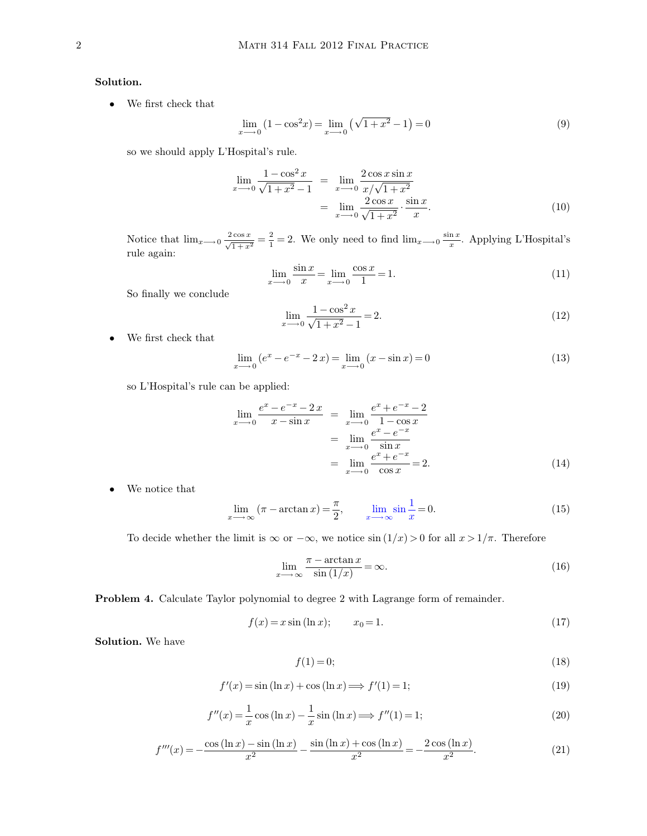# **Solution.**

 $\bullet$  – We first check that

$$
\lim_{x \to 0} (1 - \cos^2 x) = \lim_{x \to 0} (\sqrt{1 + x^2} - 1) = 0
$$
\n(9)

so we should apply L'Hospital's rule.

$$
\lim_{x \to 0} \frac{1 - \cos^2 x}{\sqrt{1 + x^2} - 1} = \lim_{x \to 0} \frac{2 \cos x \sin x}{x / \sqrt{1 + x^2}}\n= \lim_{x \to 0} \frac{2 \cos x}{\sqrt{1 + x^2}} \cdot \frac{\sin x}{x}.
$$
\n(10)

Notice that  $\lim_{x\to 0} \frac{2\cos x}{\sqrt{1+x}}$  $\frac{2\cos x}{\sqrt{1+x^2}} = \frac{2}{1}$  $\frac{2}{1}$  = 2. We only need to find  $\lim_{x\to 0} \frac{\sin x}{x}$  $\frac{\ln x}{x}$ . Applying L'Hospital's rule again:

$$
\lim_{x \to 0} \frac{\sin x}{x} = \lim_{x \to 0} \frac{\cos x}{1} = 1.
$$
\n(11)

So finally we conclude

$$
\lim_{x \to 0} \frac{1 - \cos^2 x}{\sqrt{1 + x^2} - 1} = 2.
$$
\n(12)

 $\bullet$  – We first check that

$$
\lim_{x \to -0} (e^x - e^{-x} - 2x) = \lim_{x \to -0} (x - \sin x) = 0
$$
\n(13)

so L'Hospital's rule can be applied:

$$
\lim_{x \to 0} \frac{e^x - e^{-x} - 2x}{x - \sin x} = \lim_{x \to 0} \frac{e^x + e^{-x} - 2}{1 - \cos x} \n= \lim_{x \to 0} \frac{e^x - e^{-x}}{\sin x} \n= \lim_{x \to 0} \frac{e^x + e^{-x}}{\cos x} = 2.
$$
\n(14)

• We notice that

$$
\lim_{x \to \infty} (\pi - \arctan x) = \frac{\pi}{2}, \qquad \lim_{x \to \infty} \sin \frac{1}{x} = 0.
$$
\n(15)

To decide whether the limit is  $\infty$  or  $-\infty$ , we notice  $\sin(1/x) > 0$  for all  $x > 1/\pi$ . Therefore

$$
\lim_{x \to \infty} \frac{\pi - \arctan x}{\sin (1/x)} = \infty.
$$
\n(16)

**Problem 4.** Calculate Taylor polynomial to degree 2 with Lagrange form of remainder.

$$
f(x) = x \sin(\ln x); \qquad x_0 = 1. \tag{17}
$$

**Solution.** We have

$$
f(1) = 0;\tag{18}
$$

$$
f'(x) = \sin(\ln x) + \cos(\ln x) \Longrightarrow f'(1) = 1;
$$
\n(19)

$$
f''(x) = \frac{1}{x}\cos(\ln x) - \frac{1}{x}\sin(\ln x) \Longrightarrow f''(1) = 1;
$$
\n(20)

$$
f'''(x) = -\frac{\cos(\ln x) - \sin(\ln x)}{x^2} - \frac{\sin(\ln x) + \cos(\ln x)}{x^2} = -\frac{2\cos(\ln x)}{x^2}.
$$
 (21)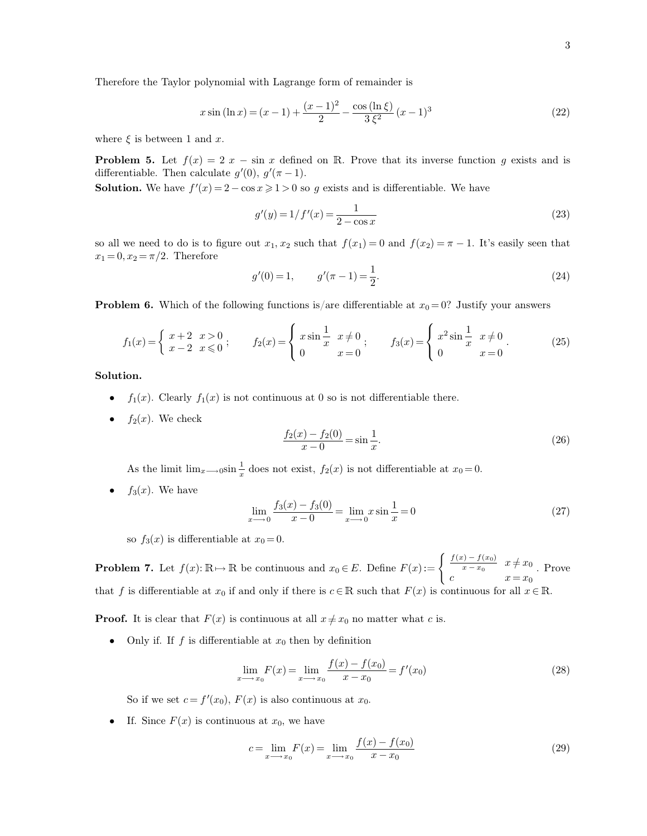Therefore the Taylor polynomial with Lagrange form of remainder is

$$
x\sin\left(\ln x\right) = (x-1) + \frac{(x-1)^2}{2} - \frac{\cos\left(\ln\xi\right)}{3\xi^2}(x-1)^3\tag{22}
$$

where  $\xi$  is between 1 and x.

**Problem 5.** Let  $f(x) = 2x - \sin x$  defined on R. Prove that its inverse function g exists and is differentiable. Then calculate  $g'(0)$ ,  $g'(\pi - 1)$ .

**Solution.** We have  $f'(x) = 2 - \cos x \ge 1 > 0$  so g exists and is differentiable. We have

$$
g'(y) = 1/f'(x) = \frac{1}{2 - \cos x}
$$
\n(23)

so all we need to do is to figure out  $x_1, x_2$  such that  $f(x_1) = 0$  and  $f(x_2) = \pi - 1$ . It's easily seen that  $x_1 = 0, x_2 = \pi/2$ . Therefore

$$
g'(0) = 1, \qquad g'(\pi - 1) = \frac{1}{2}.
$$
\n(24)

**Problem 6.** Which of the following functions is/are differentiable at  $x_0 = 0$ ? Justify your answers

$$
f_1(x) = \begin{cases} x+2 & x > 0 \\ x-2 & x \le 0 \end{cases}; \qquad f_2(x) = \begin{cases} x\sin\frac{1}{x} & x \ne 0 \\ 0 & x = 0 \end{cases}; \qquad f_3(x) = \begin{cases} x^2\sin\frac{1}{x} & x \ne 0 \\ 0 & x = 0 \end{cases}.
$$
 (25)

### **Solution.**

- $f_1(x)$ . Clearly  $f_1(x)$  is not continuous at 0 so is not differentiable there.
- $f_2(x)$ . We check

$$
\frac{f_2(x) - f_2(0)}{x - 0} = \sin \frac{1}{x}.\tag{26}
$$

As the limit  $\lim_{x\to 0} \sin \frac{1}{x}$  does not exist,  $f_2(x)$  is not differentiable at  $x_0 = 0$ .

•  $f_3(x)$ . We have

$$
\lim_{x \to 0} \frac{f_3(x) - f_3(0)}{x - 0} = \lim_{x \to 0} x \sin \frac{1}{x} = 0
$$
\n(27)

so  $f_3(x)$  is differentiable at  $x_0 = 0$ .

**Problem 7.** Let  $f(x): \mathbb{R} \to \mathbb{R}$  be continuous and  $x_0 \in E$ . Define  $F(x) :=$  $\int \frac{f(x) - f(x_0)}{f(x_0)}$  $\frac{x(x-1)}{x-x_0}$   $x \neq x_0$ c  $x = x_0$ . Prove that f is differentiable at  $x_0$  if and only if there is  $c \in \mathbb{R}$  such that  $F(x)$  is continuous for all  $x \in \mathbb{R}$ .

**Proof.** It is clear that  $F(x)$  is continuous at all  $x \neq x_0$  no matter what c is.

• Only if. If f is differentiable at  $x_0$  then by definition

$$
\lim_{x \to x_0} F(x) = \lim_{x \to x_0} \frac{f(x) - f(x_0)}{x - x_0} = f'(x_0)
$$
\n(28)

So if we set  $c = f'(x_0)$ ,  $F(x)$  is also continuous at  $x_0$ .

• If. Since  $F(x)$  is continuous at  $x_0$ , we have

$$
c = \lim_{x \to x_0} F(x) = \lim_{x \to x_0} \frac{f(x) - f(x_0)}{x - x_0}
$$
(29)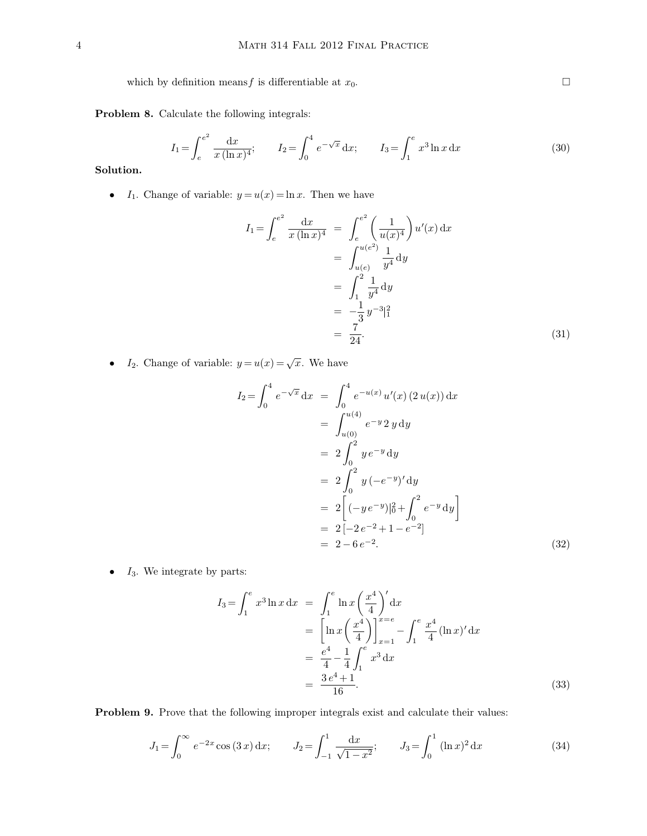which by definition means f is differentiable at  $x_0$ .

**Problem 8.** Calculate the following integrals:

$$
I_1 = \int_e^{e^2} \frac{\mathrm{d}x}{x(\ln x)^4}; \qquad I_2 = \int_0^4 e^{-\sqrt{x}} \, \mathrm{d}x; \qquad I_3 = \int_1^e x^3 \ln x \, \mathrm{d}x \tag{30}
$$

### **Solution.**

•  $I_1$ . Change of variable:  $y = u(x) = \ln x$ . Then we have

$$
I_1 = \int_e^{e^2} \frac{dx}{x (\ln x)^4} = \int_e^{e^2} \left(\frac{1}{u(x)^4}\right) u'(x) dx
$$
  
= 
$$
\int_{u(e)}^{u(e^2)} \frac{1}{y^4} dy
$$
  
= 
$$
\int_1^2 \frac{1}{y^4} dy
$$
  
= 
$$
-\frac{1}{3} y^{-3} |_1^2
$$
  
= 
$$
\frac{7}{24}.
$$
 (31)

•  $I_2$ . Change of variable:  $y = u(x) = \sqrt{x}$ . We have

$$
I_2 = \int_0^4 e^{-\sqrt{x}} dx = \int_0^4 e^{-u(x)} u'(x) (2 u(x)) dx
$$
  
= 
$$
\int_{u(0)}^{u(4)} e^{-y} 2 y dy
$$
  
= 
$$
2 \int_0^2 y e^{-y} dy
$$
  
= 
$$
2 \int_0^2 y (-e^{-y})' dy
$$
  
= 
$$
2 [(-ye^{-y})]_0^2 + \int_0^2 e^{-y} dy
$$
  
= 
$$
2 [-2e^{-2} + 1 - e^{-2}]
$$
  
= 
$$
2 - 6 e^{-2}.
$$
 (32)

•  $I_3$ . We integrate by parts:

$$
I_3 = \int_1^e x^3 \ln x \, dx = \int_1^e \ln x \left(\frac{x^4}{4}\right)' dx
$$
  
=  $\left[\ln x \left(\frac{x^4}{4}\right)\right]_{x=1}^{x=e} - \int_1^e \frac{x^4}{4} (\ln x)' dx$   
=  $\frac{e^4}{4} - \frac{1}{4} \int_1^e x^3 dx$   
=  $\frac{3 e^4 + 1}{16}$ . (33)

**Problem 9.** Prove that the following improper integrals exist and calculate their values:

$$
J_1 = \int_0^\infty e^{-2x} \cos(3x) \, dx; \qquad J_2 = \int_{-1}^1 \frac{dx}{\sqrt{1 - x^2}}; \qquad J_3 = \int_0^1 (\ln x)^2 \, dx \tag{34}
$$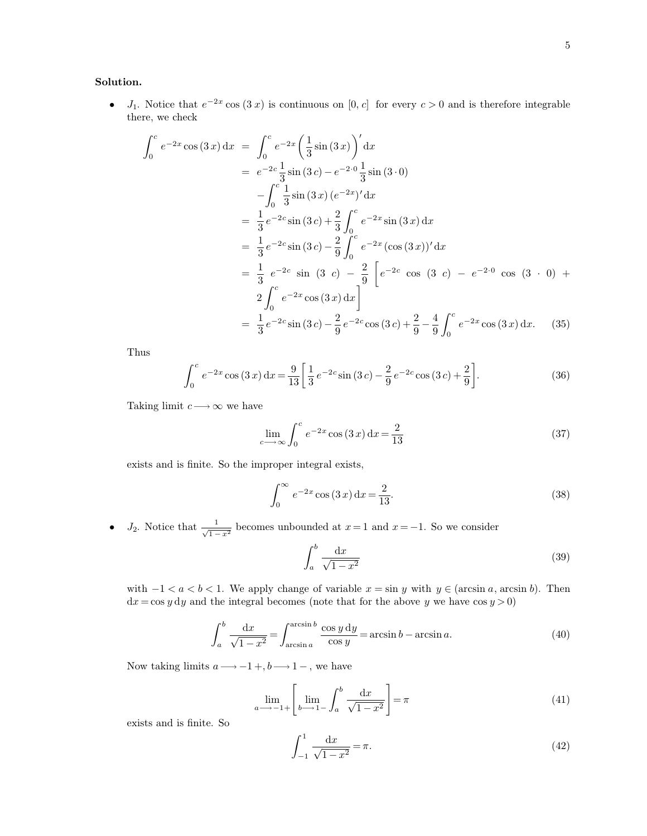# **Solution.**

•  $J_1$ . Notice that  $e^{-2x} \cos(3x)$  is continuous on  $[0, c]$  for every  $c > 0$  and is therefore integrable there, we check

$$
\int_{0}^{c} e^{-2x} \cos(3x) dx = \int_{0}^{c} e^{-2x} \left(\frac{1}{3}\sin(3x)\right)' dx
$$
  
\n
$$
= e^{-2c} \frac{1}{3}\sin(3c) - e^{-2\cdot 0} \frac{1}{3}\sin(3\cdot 0)
$$
  
\n
$$
- \int_{0}^{c} \frac{1}{3}\sin(3x) (e^{-2x})' dx
$$
  
\n
$$
= \frac{1}{3}e^{-2c} \sin(3c) + \frac{2}{3} \int_{0}^{c} e^{-2x} \sin(3x) dx
$$
  
\n
$$
= \frac{1}{3}e^{-2c} \sin(3c) - \frac{2}{9} \int_{0}^{c} e^{-2x} (\cos(3x))' dx
$$
  
\n
$$
= \frac{1}{3}e^{-2c} \sin(3c) - \frac{2}{9} \left[e^{-2c} \cos(3c) - e^{-2\cdot 0} \cos(3\cdot 0) + 2\int_{0}^{c} e^{-2x} \cos(3x) dx\right]
$$
  
\n
$$
= \frac{1}{3}e^{-2c} \sin(3c) - \frac{2}{9}e^{-2c} \cos(3c) + \frac{2}{9} - \frac{4}{9} \int_{0}^{c} e^{-2x} \cos(3x) dx.
$$
 (35)

Thus

$$
\int_0^c e^{-2x} \cos(3x) dx = \frac{9}{13} \left[ \frac{1}{3} e^{-2c} \sin(3c) - \frac{2}{9} e^{-2c} \cos(3c) + \frac{2}{9} \right].
$$
 (36)

Taking limit  $c \longrightarrow \infty$  we have

$$
\lim_{c \to \infty} \int_0^c e^{-2x} \cos(3x) \, dx = \frac{2}{13}
$$
 (37)

exists and is finite. So the improper integral exists,

$$
\int_0^\infty e^{-2x} \cos(3x) \, dx = \frac{2}{13}.\tag{38}
$$

•  $J_2$ . Notice that  $\frac{1}{\sqrt{1-x^2}}$  becomes unbounded at  $x=1$  and  $x=-1$ . So we consider

$$
\int_{a}^{b} \frac{\mathrm{d}x}{\sqrt{1-x^2}}\tag{39}
$$

with  $-1 < a < b < 1$ . We apply change of variable  $x = \sin y$  with  $y \in (\arcsin a, \arcsin b)$ . Then  $dx = \cos y dy$  and the integral becomes (note that for the above y we have  $\cos y > 0$ )

$$
\int_{a}^{b} \frac{\mathrm{d}x}{\sqrt{1 - x^2}} = \int_{\arcsin a}^{\arcsin b} \frac{\cos y \, \mathrm{d}y}{\cos y} = \arcsin b - \arcsin a. \tag{40}
$$

Now taking limits  $a \longrightarrow -1+, b \longrightarrow 1-$  , we have

$$
\lim_{a \to -1+} \left[ \lim_{b \to 1-} \int_{a}^{b} \frac{\mathrm{d}x}{\sqrt{1-x^2}} \right] = \pi \tag{41}
$$

exists and is finite. So

$$
\int_{-1}^{1} \frac{\mathrm{d}x}{\sqrt{1 - x^2}} = \pi.
$$
\n(42)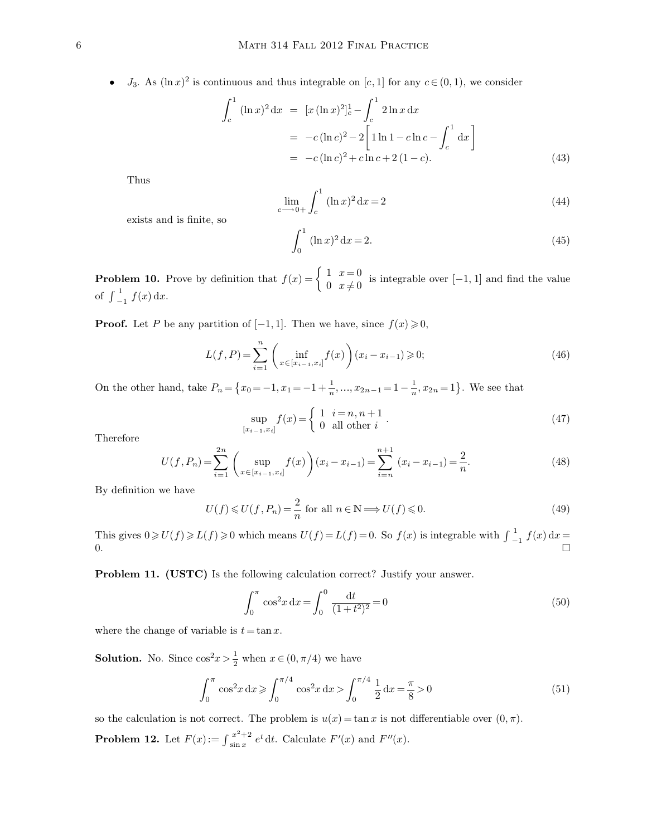•  $J_3$ . As  $(\ln x)^2$  is continuous and thus integrable on  $[c, 1]$  for any  $c \in (0, 1)$ , we consider

$$
\int_{c}^{1} (\ln x)^{2} dx = [x (\ln x)^{2}]_{c}^{1} - \int_{c}^{1} 2 \ln x dx
$$
  
= -c (\ln c)^{2} - 2 [1 \ln 1 - c \ln c - \int\_{c}^{1} dx]  
= -c (\ln c)^{2} + c \ln c + 2 (1 - c). (43)

Thus

$$
\lim_{c \to 0+} \int_{c}^{1} (\ln x)^{2} dx = 2
$$
\n(44)

exists and is finite, so

$$
\int_0^1 (\ln x)^2 dx = 2.
$$
 (45)

**Problem 10.** Prove by definition that  $f(x) = \begin{cases} 1 & x = 0 \\ 0 & x \neq 0 \end{cases}$  $\begin{array}{c} 1 \ x - 0 \ 0 \ x \neq 0 \end{array}$  is integrable over [-1, 1] and find the value of  $\int_{-1}^{1}$  $\int_{-1}^{1} f(x) dx$ .

**Proof.** Let P be any partition of  $[-1, 1]$ . Then we have, since  $f(x) \ge 0$ ,

$$
L(f, P) = \sum_{i=1}^{n} \left( \inf_{x \in [x_{i-1}, x_i]} f(x) \right) (x_i - x_{i-1}) \ge 0;
$$
\n(46)

On the other hand, take  $P_n = \{x_0 = -1, x_1 = -1 + \frac{1}{n}, ..., x_{2n-1} = 1 - \frac{1}{n}\}$  $\frac{1}{n}$ ,  $x_{2n} = 1$ . We see that

$$
\sup_{[x_{i-1}, x_i]} f(x) = \begin{cases} 1 & i = n, n+1 \\ 0 & \text{all other } i \end{cases} . \tag{47}
$$

Therefore

$$
U(f, P_n) = \sum_{i=1}^{2n} \left( \sup_{x \in [x_{i-1}, x_i]} f(x) \right) (x_i - x_{i-1}) = \sum_{i=n}^{n+1} (x_i - x_{i-1}) = \frac{2}{n}.
$$
 (48)

By definition we have

$$
U(f) \leq U(f, P_n) = \frac{2}{n} \text{ for all } n \in \mathbb{N} \Longrightarrow U(f) \leq 0. \tag{49}
$$

This gives  $0 \ge U(f) \ge L(f) \ge 0$  which means  $U(f) = L(f) = 0$ . So  $f(x)$  is integrable with  $\int_{-1}^{1}$  $\int_{-1}^{1} f(x) dx =$  $\Box$ 

**Problem 11. (USTC)** Is the following calculation correct? Justify your answer.

$$
\int_0^\pi \cos^2 x \, dx = \int_0^0 \frac{dt}{(1+t^2)^2} = 0 \tag{50}
$$

where the change of variable is  $t = \tan x$ .

**Solution.** No. Since  $\cos^2 x > \frac{1}{2}$  when  $x \in (0, \pi/4)$  we have

$$
\int_0^\pi \cos^2 x \, dx \ge \int_0^{\pi/4} \cos^2 x \, dx > \int_0^{\pi/4} \frac{1}{2} \, dx = \frac{\pi}{8} > 0 \tag{51}
$$

so the calculation is not correct. The problem is  $u(x) = \tan x$  is not differentiable over  $(0, \pi)$ . **Problem 12.** Let  $F(x) := \int_{\sin x}^{x}$  $x^{2}+2$  e<sup>t</sup> dt. Calculate  $F'(x)$  and  $F''(x)$ .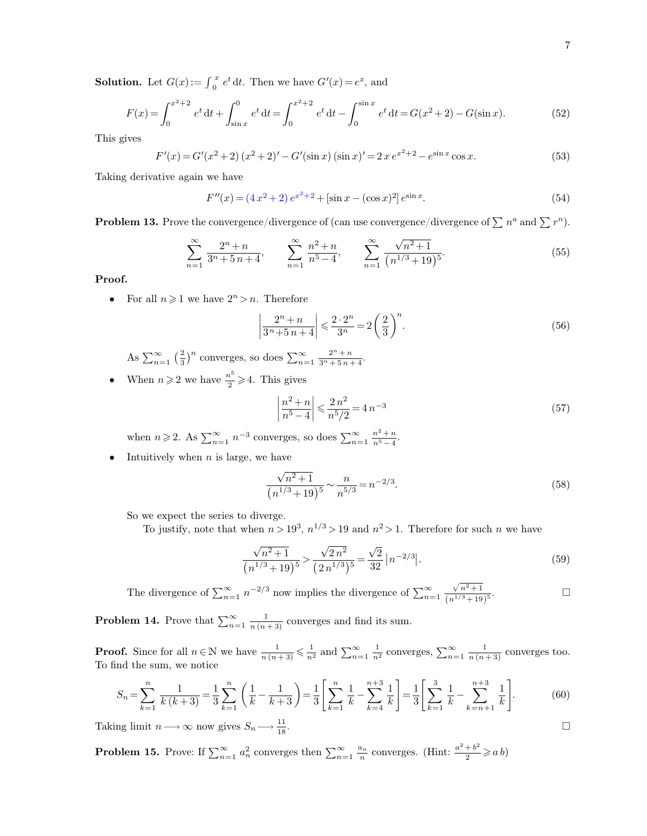**Solution.** Let  $G(x) := \int_0^x$  $\int_{0}^{x} e^{t} dt$ . Then we have  $G'(x) = e^{x}$ , and

$$
F(x) = \int_0^{x^2 + 2} e^t dt + \int_{\sin x}^0 e^t dt = \int_0^{x^2 + 2} e^t dt - \int_0^{\sin x} e^t dt = G(x^2 + 2) - G(\sin x).
$$
 (52)

This gives

 $F'(x) = G'(x^2 + 2)(x^2 + 2)' - G'(\sin x)(\sin x)' = 2x e^{x^2 + 2} - e^{\sin x} \cos x.$  (53)

Taking derivative again we have

$$
F''(x) = (4x^2 + 2)e^{x^2 + 2} + [\sin x - (\cos x)^2]e^{\sin x}.
$$
 (54)

**Problem 13.** Prove the convergence/divergence of (can use convergence/divergence of  $\sum n^a$  and  $\sum r^n$ ).

$$
\sum_{n=1}^{\infty} \frac{2^n + n}{3^n + 5n + 4}, \qquad \sum_{n=1}^{\infty} \frac{n^2 + n}{n^5 - 4}, \qquad \sum_{n=1}^{\infty} \frac{\sqrt{n^2 + 1}}{(n^{1/3} + 19)^5}.
$$
 (55)

**Proof.**

• For all  $n \geqslant 1$  we have  $2^n > n$ . Therefore

$$
\left|\frac{2^n+n}{3^n+5n+4}\right| \leqslant \frac{2\cdot 2^n}{3^n} = 2\left(\frac{2}{3}\right)^n.
$$
\n(56)

As  $\sum_{n=1}^{\infty} \left(\frac{2}{3}\right)^n$  converges, so does  $\sum_{n=1}^{\infty} \frac{2^n + n}{3^n + 5n + 4}$ .

• When  $n \geqslant 2$  we have  $\frac{n^5}{2}$  $\frac{i^{2}}{2} \geqslant 4$ . This gives

$$
\left|\frac{n^2+n}{n^5-4}\right| \leqslant \frac{2\,n^2}{n^5/2} = 4\,n^{-3} \tag{57}
$$

when  $n \geqslant 2$ . As  $\sum_{n=1}^{\infty} n^{-3}$  converges, so does  $\sum_{n=1}^{\infty} \frac{n^2 + n}{n^5 - 4}$  $\frac{n}{n^5-4}$ .

Intuitively when  $n$  is large, we have

$$
\frac{\sqrt{n^2+1}}{(n^{1/3}+19)^5} \sim \frac{n}{n^{5/3}} = n^{-2/3}.
$$
\n(58)

So we expect the series to diverge.

To justify, note that when  $n > 19^3$ ,  $n^{1/3} > 19$  and  $n^2 > 1$ . Therefore for such n we have

$$
\frac{\sqrt{n^2+1}}{(n^{1/3}+19)^5} > \frac{\sqrt{2n^2}}{(2n^{1/3})^5} = \frac{\sqrt{2}}{32} |n^{-2/3}|.
$$
\n(59)

The divergence of  $\sum_{n=1}^{\infty} n^{-2/3}$  now implies the divergence of  $\sum_{n=1}^{\infty} \frac{\sqrt{n^2+1}}{(n^{1/3}+19)}$  $(n^{1/3}+19)^5$  $\Box$ 

**Problem 14.** Prove that  $\sum_{n=1}^{\infty} \frac{1}{n(n+3)}$  converges and find its sum.

**Proof.** Since for all  $n \in \mathbb{N}$  we have  $\frac{1}{n(n+3)} \leq \frac{1}{n^2}$  and  $\sum_{n=1}^{\infty} \frac{1}{n^2}$  converges,  $\sum_{n=1}^{\infty} \frac{1}{n(n+3)}$  converges too. To find the sum, we notice

$$
S_n = \sum_{k=1}^n \frac{1}{k(k+3)} = \frac{1}{3} \sum_{k=1}^n \left( \frac{1}{k} - \frac{1}{k+3} \right) = \frac{1}{3} \left[ \sum_{k=1}^n \frac{1}{k} - \sum_{k=4}^{n+3} \frac{1}{k} \right] = \frac{1}{3} \left[ \sum_{k=1}^3 \frac{1}{k} - \sum_{k=n+1}^{n+3} \frac{1}{k} \right].
$$
 (60)

Taking limit  $n \longrightarrow \infty$  now gives  $S_n \longrightarrow \frac{11}{18}$ .  $\frac{11}{18}$ .

**Problem 15.** Prove: If  $\sum_{n=1}^{\infty} a_n^2$  converges then  $\sum_{n=1}^{\infty} \frac{a_n}{n}$  converges. (Hint:  $\frac{a^2+b^2}{2}$  $\frac{+b^2}{2} \geqslant a b$ 

$$
\qquad \qquad \Box
$$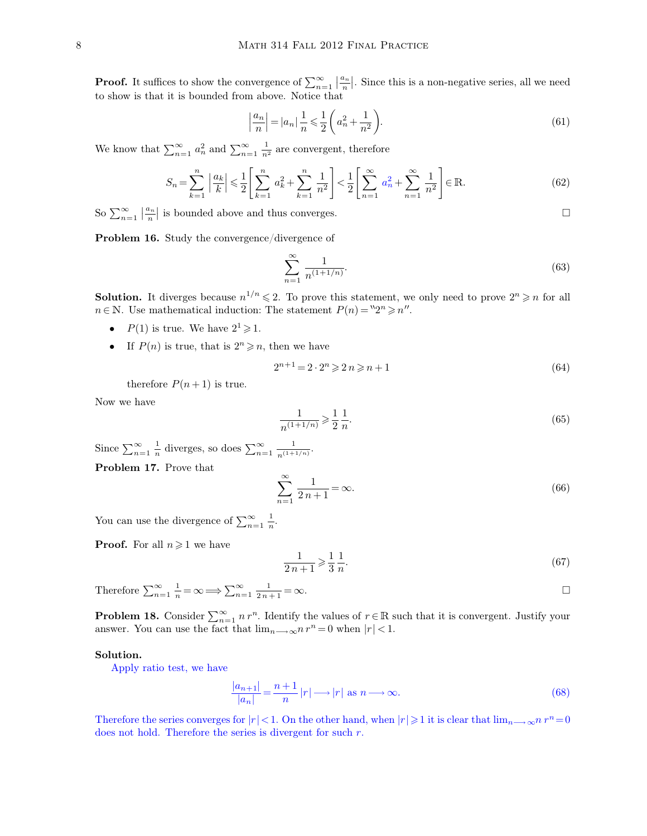**Proof.** It suffices to show the convergence of  $\sum_{n=1}^{\infty} \left| \frac{a_n}{n} \right|$  $\frac{1}{n}$ . Since this is a non-negative series, all we need to show is that it is bounded from above. Notice that

$$
\left| \frac{a_n}{n} \right| = |a_n| \frac{1}{n} \le \frac{1}{2} \left( a_n^2 + \frac{1}{n^2} \right).
$$
 (61)

We know that  $\sum_{n=1}^{\infty} a_n^2$  and  $\sum_{n=1}^{\infty} \frac{1}{n^2}$  are convergent, therefore

$$
S_n = \sum_{k=1}^n \left| \frac{a_k}{k} \right| \leq \frac{1}{2} \left[ \sum_{k=1}^n a_k^2 + \sum_{k=1}^n \frac{1}{n^2} \right] < \frac{1}{2} \left[ \sum_{n=1}^\infty a_n^2 + \sum_{n=1}^\infty \frac{1}{n^2} \right] \in \mathbb{R}.\tag{62}
$$

So  $\sum_{n=1}^{\infty} \left| \frac{a_n}{n} \right|$  $\lfloor \frac{n_n}{n} \rfloor$  is bounded above and thus converges.

**Problem 16.** Study the convergence/divergence of

$$
\sum_{n=1}^{\infty} \frac{1}{n^{(1+1/n)}}.
$$
\n(63)

**Solution.** It diverges because  $n^{1/n} \leq 2$ . To prove this statement, we only need to prove  $2^n \geq n$  for all  $n \in \mathbb{N}$ . Use mathematical induction: The statement  $P(n) = "2<sup>n</sup> \ge n"$ .

- $P(1)$  is true. We have  $2^1 \geq 1$ .
- If  $P(n)$  is true, that is  $2^n \geq n$ , then we have

$$
2^{n+1} = 2 \cdot 2^n \geqslant 2n \geqslant n+1 \tag{64}
$$

therefore  $P(n+1)$  is true.

Now we have

$$
\frac{1}{n^{(1+1/n)}} \ge \frac{1}{2} \frac{1}{n}.\tag{65}
$$

Since  $\sum_{n=1}^{\infty} \frac{1}{n}$  diverges, so does  $\sum_{n=1}^{\infty} \frac{1}{n^{(1+1)}}$  $\frac{1}{n^{(1+1/n)}}$ .

**Problem 17.** Prove that

$$
\sum_{n=1}^{\infty} \frac{1}{2n+1} = \infty.
$$
 (66)

You can use the divergence of  $\sum_{n=1}^{\infty} \frac{1}{n}$ .

**Proof.** For all  $n \geq 1$  we have

$$
\frac{1}{2n+1} \ge \frac{1}{3} \frac{1}{n}.\tag{67}
$$

Therefore  $\sum_{n=1}^{\infty} \frac{1}{n} = \infty \Longrightarrow \sum_{n=1}^{\infty} \frac{1}{2n+1} = \infty$ .

**Problem 18.** Consider  $\sum_{n=1}^{\infty} n r^n$ . Identify the values of  $r \in \mathbb{R}$  such that it is convergent. Justify your answer. You can use the fact that  $\lim_{n\to\infty} n r^n = 0$  when  $|r| < 1$ .

### **Solution.**

Apply ratio test, we have

$$
\frac{|a_{n+1}|}{|a_n|} = \frac{n+1}{n}|r| \longrightarrow |r| \text{ as } n \longrightarrow \infty.
$$
 (68)

Therefore the series converges for  $|r| < 1$ . On the other hand, when  $|r| \geq 1$  it is clear that  $\lim_{n \to \infty} n r^n = 0$ does not hold. Therefore the series is divergent for such r.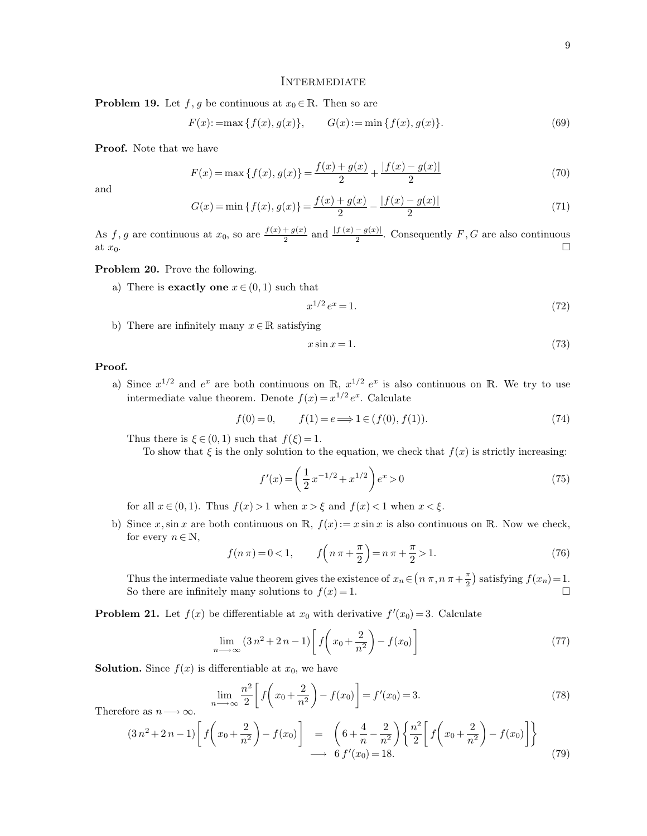### **INTERMEDIATE**

**Problem 19.** Let  $f, g$  be continuous at  $x_0 \in \mathbb{R}$ . Then so are

 $F(x) := \max \{f(x), g(x)\}, \qquad G(x) := \min \{f(x), g(x)\}.$  (69)

**Proof.** Note that we have

$$
F(x) = \max\left\{f(x), g(x)\right\} = \frac{f(x) + g(x)}{2} + \frac{|f(x) - g(x)|}{2}
$$
\n(70)

and

$$
G(x) = \min\left\{f(x), g(x)\right\} = \frac{f(x) + g(x)}{2} - \frac{|f(x) - g(x)|}{2} \tag{71}
$$

As f, g are continuous at  $x_0$ , so are  $\frac{f(x)+g(x)}{2}$  $\frac{f + g(x)}{2}$  and  $\frac{|f(x) - g(x)|}{2}$ . Consequently F, G are also continuous at  $x_0$ .

### **Problem 20.** Prove the following.

a) There is **exactly one**  $x \in (0, 1)$  such that

$$
x^{1/2}e^x = 1.\tag{72}
$$

b) There are infinitely many  $x \in \mathbb{R}$  satisfying

$$
x\sin x = 1.\tag{73}
$$

### **Proof.**

a) Since  $x^{1/2}$  and  $e^x$  are both continuous on R,  $x^{1/2}e^x$  is also continuous on R. We try to use intermediate value theorem. Denote  $f(x) = x^{1/2} e^x$ . Calculate

$$
f(0) = 0, \t f(1) = e \Longrightarrow 1 \in (f(0), f(1)). \t(74)
$$

Thus there is  $\xi \in (0, 1)$  such that  $f(\xi) = 1$ .

To show that  $\xi$  is the only solution to the equation, we check that  $f(x)$  is strictly increasing:

$$
f'(x) = \left(\frac{1}{2}x^{-1/2} + x^{1/2}\right)e^x > 0\tag{75}
$$

for all  $x \in (0,1)$ . Thus  $f(x) > 1$  when  $x > \xi$  and  $f(x) < 1$  when  $x < \xi$ .

b) Since x, sin x are both continuous on R,  $f(x) := x \sin x$  is also continuous on R. Now we check, for every  $n \in \mathbb{N}$ ,

$$
f(n\pi) = 0 < 1, \qquad f\left(n\pi + \frac{\pi}{2}\right) = n\pi + \frac{\pi}{2} > 1. \tag{76}
$$

Thus the intermediate value theorem gives the existence of  $x_n \in (n \pi, n \pi + \frac{\pi}{2})$  $\frac{\pi}{2}$ ) satisfying  $f(x_n)=1$ . So there are infinitely many solutions to  $f(x) = 1$ .

**Problem 21.** Let  $f(x)$  be differentiable at  $x_0$  with derivative  $f'(x_0) = 3$ . Calculate

$$
\lim_{n \to \infty} \left(3n^2 + 2n - 1\right) \left[ f\left(x_0 + \frac{2}{n^2}\right) - f(x_0) \right] \tag{77}
$$

**Solution.** Since  $f(x)$  is differentiable at  $x_0$ , we have

$$
\lim_{n \to \infty} \frac{n^2}{2} \left[ f\left(x_0 + \frac{2}{n^2}\right) - f(x_0) \right] = f'(x_0) = 3. \tag{78}
$$

Therefore as  $n \longrightarrow \infty$ .

$$
(3 n2 + 2 n - 1) \left[ f \left( x_0 + \frac{2}{n^2} \right) - f(x_0) \right] = \left( 6 + \frac{4}{n} - \frac{2}{n^2} \right) \left\{ \frac{n^2}{2} \left[ f \left( x_0 + \frac{2}{n^2} \right) - f(x_0) \right] \right\}
$$
  

$$
\longrightarrow 6 f'(x_0) = 18.
$$
 (79)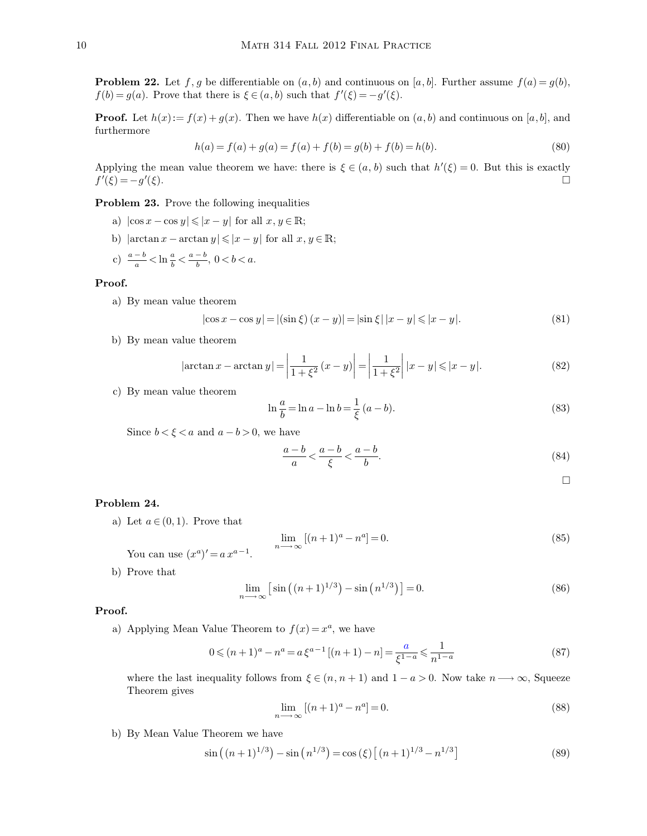**Problem 22.** Let f, g be differentiable on  $(a, b)$  and continuous on  $[a, b]$ . Further assume  $f(a) = g(b)$ ,  $f(b) = g(a)$ . Prove that there is  $\xi \in (a, b)$  such that  $f'(\xi) = -g'(\xi)$ .

**Proof.** Let  $h(x) := f(x) + g(x)$ . Then we have  $h(x)$  differentiable on  $(a, b)$  and continuous on [a, b], and furthermore

$$
h(a) = f(a) + g(a) = f(a) + f(b) = g(b) + f(b) = h(b).
$$
\n(80)

Applying the mean value theorem we have: there is  $\xi \in (a, b)$  such that  $h'(\xi) = 0$ . But this is exactly  $f'(\xi) = -g'$  $(\xi).$ 

# **Problem 23.** Prove the following inequalities

- a)  $|\cos x \cos y| \leq |x y|$  for all  $x, y \in \mathbb{R}$ ;
- b)  $|\arctan x \arctan y| \leq |x y|$  for all  $x, y \in \mathbb{R}$ ;
- c)  $\frac{a-b}{a} < \ln \frac{a}{b} < \frac{a-b}{b}, 0 < b < a$ .

### **Proof.**

a) By mean value theorem

$$
|\cos x - \cos y| = |(\sin \xi)(x - y)| = |\sin \xi| |x - y| \le |x - y|.
$$
 (81)

b) By mean value theorem

$$
|\arctan x - \arctan y| = \left| \frac{1}{1 + \xi^2} (x - y) \right| = \left| \frac{1}{1 + \xi^2} \right| |x - y| \le |x - y|. \tag{82}
$$

c) By mean value theorem

$$
\ln \frac{a}{b} = \ln a - \ln b = \frac{1}{\xi} (a - b).
$$
 (83)

Since  $b < \xi < a$  and  $a - b > 0$ , we have

$$
\frac{a-b}{a} < \frac{a-b}{\xi} < \frac{a-b}{b}.\tag{84}
$$

 $\Box$ 

# **Problem 24.**

a) Let  $a \in (0, 1)$ . Prove that

You can use  $(x^a)' = a x^{a-1}$ .

$$
\lim_{n \to \infty} [(n+1)^a - n^a] = 0. \tag{85}
$$

b) Prove that

$$
\lim_{n \to \infty} \left[ \sin \left( (n+1)^{1/3} \right) - \sin \left( n^{1/3} \right) \right] = 0. \tag{86}
$$

## **Proof.**

a) Applying Mean Value Theorem to  $f(x) = x^a$ , we have

$$
0 \leq (n+1)^a - n^a = a \xi^{a-1} [(n+1) - n] = \frac{a}{\xi^{1-a}} \leq \frac{1}{n^{1-a}} \tag{87}
$$

where the last inequality follows from  $\xi \in (n, n + 1)$  and  $1 - a > 0$ . Now take  $n \longrightarrow \infty$ , Squeeze Theorem gives

$$
\lim_{n \to \infty} \left[ (n+1)^a - n^a \right] = 0. \tag{88}
$$

b) By Mean Value Theorem we have

$$
\sin\left((n+1)^{1/3}\right) - \sin\left(n^{1/3}\right) = \cos\left(\xi\right) \left[(n+1)^{1/3} - n^{1/3}\right] \tag{89}
$$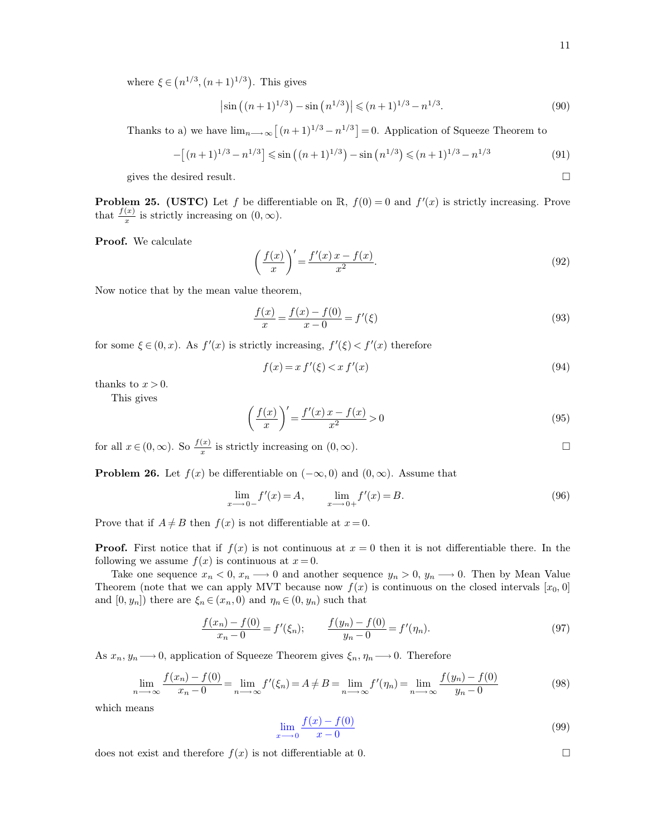11

where  $\xi \in (n^{1/3}, (n+1)^{1/3})$ . This gives

$$
\left|\sin\left((n+1)^{1/3}\right)-\sin\left(n^{1/3}\right)\right|\leqslant (n+1)^{1/3}-n^{1/3}.\tag{90}
$$

Thanks to a) we have  $\lim_{n\to\infty} \left[ (n+1)^{1/3} - n^{1/3} \right] = 0$ . Application of Squeeze Theorem to

$$
-[(n+1)^{1/3} - n^{1/3}] \le \sin((n+1)^{1/3}) - \sin(n^{1/3}) \le (n+1)^{1/3} - n^{1/3}
$$
\n(91)

gives the desired result.

**Problem 25.** (USTC) Let f be differentiable on  $\mathbb{R}$ ,  $f(0) = 0$  and  $f'(x)$  is strictly increasing. Prove that  $\frac{f(x)}{x}$  is strictly increasing on  $(0, \infty)$ .

**Proof.** We calculate

$$
\left(\frac{f(x)}{x}\right)' = \frac{f'(x) x - f(x)}{x^2}.\tag{92}
$$

Now notice that by the mean value theorem,

$$
\frac{f(x)}{x} = \frac{f(x) - f(0)}{x - 0} = f'(\xi)
$$
\n(93)

for some  $\xi \in (0, x)$ . As  $f'(x)$  is strictly increasing,  $f'(\xi) < f'(x)$  therefore

$$
f(x) = x f'(\xi) < x f'(x)
$$
\n(94)

thanks to  $x > 0$ .

This gives

$$
\left(\frac{f(x)}{x}\right)' = \frac{f'(x) x - f(x)}{x^2} > 0\tag{95}
$$

for all  $x \in (0, \infty)$ . So  $\frac{f(x)}{x}$  is strictly increasing on  $(0, \infty)$ .

**Problem 26.** Let  $f(x)$  be differentiable on  $(-\infty, 0)$  and  $(0, \infty)$ . Assume that

$$
\lim_{x \to 0^{-}} f'(x) = A, \qquad \lim_{x \to 0^{+}} f'(x) = B.
$$
\n(96)

Prove that if  $A \neq B$  then  $f(x)$  is not differentiable at  $x = 0$ .

**Proof.** First notice that if  $f(x)$  is not continuous at  $x = 0$  then it is not differentiable there. In the following we assume  $f(x)$  is continuous at  $x = 0$ .

Take one sequence  $x_n < 0$ ,  $x_n \longrightarrow 0$  and another sequence  $y_n > 0$ ,  $y_n \longrightarrow 0$ . Then by Mean Value Theorem (note that we can apply MVT because now  $f(x)$  is continuous on the closed intervals  $[x_0, 0]$ and  $[0, y_n]$ ) there are  $\xi_n \in (x_n, 0)$  and  $\eta_n \in (0, y_n)$  such that

$$
\frac{f(x_n) - f(0)}{x_n - 0} = f'(\xi_n); \qquad \frac{f(y_n) - f(0)}{y_n - 0} = f'(\eta_n). \tag{97}
$$

As  $x_n, y_n \longrightarrow 0$ , application of Squeeze Theorem gives  $\xi_n, \eta_n \longrightarrow 0$ . Therefore

$$
\lim_{n \to \infty} \frac{f(x_n) - f(0)}{x_n - 0} = \lim_{n \to \infty} f'(\xi_n) = A \neq B = \lim_{n \to \infty} f'(\eta_n) = \lim_{n \to \infty} \frac{f(y_n) - f(0)}{y_n - 0}
$$
(98)

which means

$$
\lim_{x \to 0} \frac{f(x) - f(0)}{x - 0} \tag{99}
$$

does not exist and therefore  $f(x)$  is not differentiable at 0.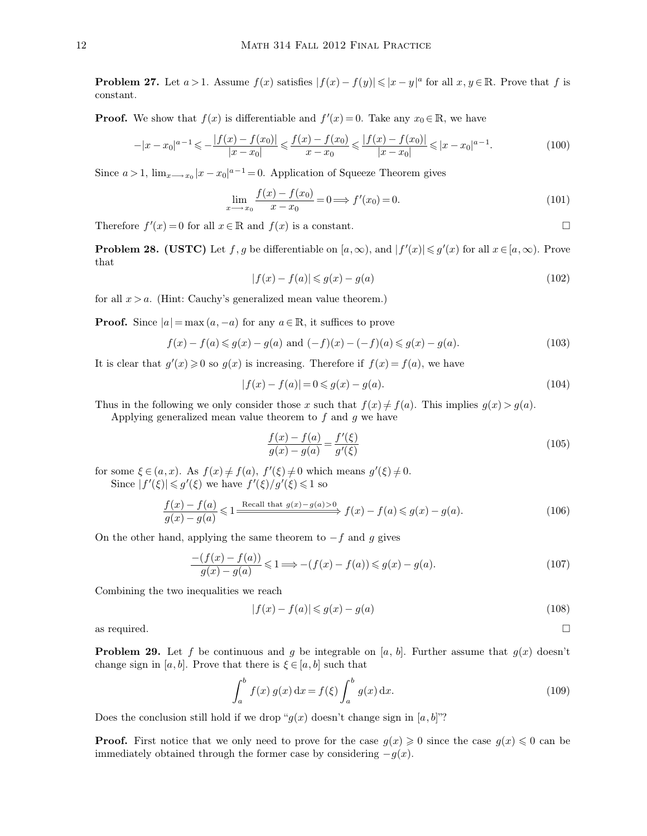**Problem 27.** Let  $a > 1$ . Assume  $f(x)$  satisfies  $|f(x) - f(y)| \leq |x - y|^a$  for all  $x, y \in \mathbb{R}$ . Prove that f is constant.

**Proof.** We show that  $f(x)$  is differentiable and  $f'(x) = 0$ . Take any  $x_0 \in \mathbb{R}$ , we have

$$
-|x-x_0|^{a-1} \leq -\frac{|f(x)-f(x_0)|}{|x-x_0|} \leq \frac{f(x)-f(x_0)}{x-x_0} \leq \frac{|f(x)-f(x_0)|}{|x-x_0|} \leq |x-x_0|^{a-1}.\tag{100}
$$

Since  $a > 1$ ,  $\lim_{x \to x_0} |x - x_0|^{a-1} = 0$ . Application of Squeeze Theorem gives

$$
\lim_{x \to x_0} \frac{f(x) - f(x_0)}{x - x_0} = 0 \Longrightarrow f'(x_0) = 0.
$$
\n(101)

Therefore  $f'(x) = 0$  for all  $x \in \mathbb{R}$  and  $f(x)$  is a constant.

**Problem 28. (USTC)** Let f, g be differentiable on  $[a, \infty)$ , and  $|f'(x)| \leq g'(x)$  for all  $x \in [a, \infty)$ . Prove that

$$
|f(x) - f(a)| \leqslant g(x) - g(a) \tag{102}
$$

for all  $x > a$ . (Hint: Cauchy's generalized mean value theorem.)

**Proof.** Since  $|a| = \max(a, -a)$  for any  $a \in \mathbb{R}$ , it suffices to prove

$$
f(x) - f(a) \le g(x) - g(a) \text{ and } (-f)(x) - (-f)(a) \le g(x) - g(a). \tag{103}
$$

It is clear that  $g'(x) \geq 0$  so  $g(x)$  is increasing. Therefore if  $f(x) = f(a)$ , we have

$$
|f(x) - f(a)| = 0 \le g(x) - g(a). \tag{104}
$$

Thus in the following we only consider those x such that  $f(x) \neq f(a)$ . This implies  $g(x) > g(a)$ .

Applying generalized mean value theorem to  $f$  and  $g$  we have

$$
\frac{f(x) - f(a)}{g(x) - g(a)} = \frac{f'(\xi)}{g'(\xi)}\tag{105}
$$

for some  $\xi \in (a, x)$ . As  $f(x) \neq f(a)$ ,  $f'(\xi) \neq 0$  which means  $g'(\xi) \neq 0$ . Since  $|f'(\xi)| \leq g'(\xi)$  we have  $f'(\xi)/g'(\xi) \leq 1$  so

$$
\frac{f(x) - f(a)}{g(x) - g(a)} \leqslant 1 \xrightarrow{\text{Recall that } g(x) - g(a) > 0} f(x) - f(a) \leqslant g(x) - g(a). \tag{106}
$$

On the other hand, applying the same theorem to  $-f$  and g gives

$$
\frac{-(f(x) - f(a))}{g(x) - g(a)} \leq 1 \Longrightarrow -(f(x) - f(a)) \leq g(x) - g(a). \tag{107}
$$

Combining the two inequalities we reach

$$
|f(x) - f(a)| \leqslant g(x) - g(a) \tag{108}
$$

as required.  $\Box$ 

**Problem 29.** Let f be continuous and g be integrable on [a, b]. Further assume that  $g(x)$  doesn't change sign in [a, b]. Prove that there is  $\xi \in [a, b]$  such that

$$
\int_{a}^{b} f(x) g(x) dx = f(\xi) \int_{a}^{b} g(x) dx.
$$
 (109)

Does the conclusion still hold if we drop " $g(x)$  doesn't change sign in [a, b]"?

**Proof.** First notice that we only need to prove for the case  $q(x) \ge 0$  since the case  $q(x) \le 0$  can be immediately obtained through the former case by considering  $-g(x)$ .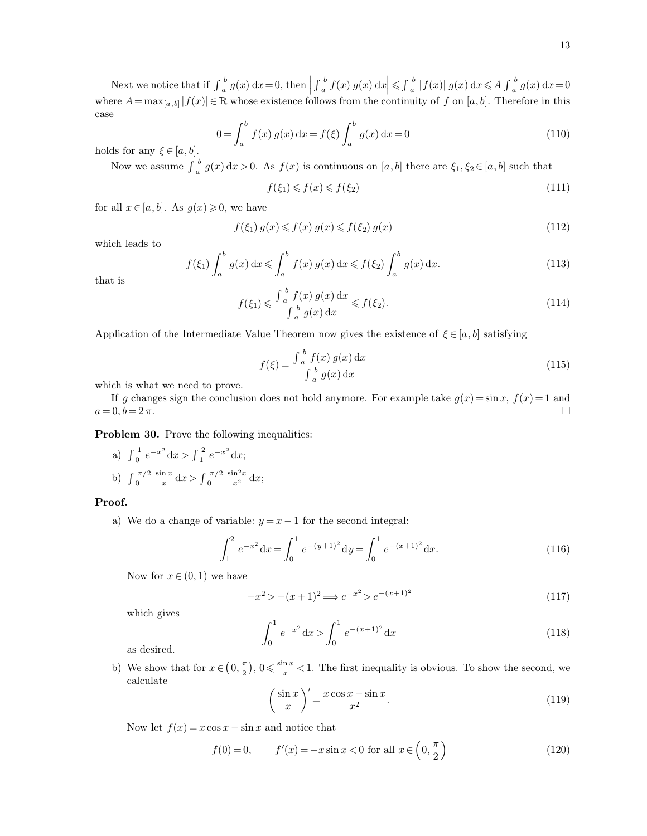$$
0 = \int_{a}^{b} f(x) g(x) dx = f(\xi) \int_{a}^{b} g(x) dx = 0
$$
\n(110)

holds for any  $\xi \in [a, b]$ .

Now we assume  $\int_{a}^{b}$  $\frac{b}{a} g(x) dx > 0$ . As  $f(x)$  is continuous on  $[a, b]$  there are  $\xi_1, \xi_2 \in [a, b]$  such that

$$
f(\xi_1) \leqslant f(x) \leqslant f(\xi_2) \tag{111}
$$

for all  $x \in [a, b]$ . As  $g(x) \geq 0$ , we have

$$
f(\xi_1) g(x) \leqslant f(x) g(x) \leqslant f(\xi_2) g(x) \tag{112}
$$

which leads to

$$
f(\xi_1) \int_a^b g(x) dx \le \int_a^b f(x) g(x) dx \le f(\xi_2) \int_a^b g(x) dx.
$$
 (113)

that is

$$
f(\xi_1) \leqslant \frac{\int_a^b f(x) g(x) dx}{\int_a^b g(x) dx} \leqslant f(\xi_2).
$$
 (114)

Application of the Intermediate Value Theorem now gives the existence of  $\xi \in [a, b]$  satisfying

$$
f(\xi) = \frac{\int_{a}^{b} f(x) g(x) dx}{\int_{a}^{b} g(x) dx}
$$
\n(115)

which is what we need to prove.

If g changes sign the conclusion does not hold anymore. For example take  $g(x) = \sin x$ ,  $f(x) = 1$  and  $a = 0, b = 2 \pi.$ 

**Problem 30.** Prove the following inequalities:

a)  $\int_0^1$  $\int_{0}^{1} e^{-x^{2}} dx > \int_{1}^{2}$  $e^{-x^2} dx;$ b)  $\int_0^{\pi}$  $\pi/2 \sin x$  $\frac{\ln x}{x} dx > \int_0^{\pi}$  $\int_0^{\pi/2} \frac{\sin^2 x}{x^2} dx;$ 

#### **Proof.**

a) We do a change of variable:  $y = x - 1$  for the second integral:

$$
\int_{1}^{2} e^{-x^{2}} dx = \int_{0}^{1} e^{-(y+1)^{2}} dy = \int_{0}^{1} e^{-(x+1)^{2}} dx.
$$
 (116)

Now for  $x \in (0,1)$  we have

$$
-x^2 > -(x+1)^2 \Longrightarrow e^{-x^2} > e^{-(x+1)^2}
$$
\n(117)

which gives

$$
\int_0^1 e^{-x^2} dx > \int_0^1 e^{-(x+1)^2} dx
$$
\n(118)

as desired.

b) We show that for  $x \in (0, \frac{\pi}{2})$  $(\frac{\pi}{2}), 0 \leqslant \frac{\sin x}{x}$  $\frac{n}{x}$  < 1. The first inequality is obvious. To show the second, we calculate

$$
\left(\frac{\sin x}{x}\right)' = \frac{x\cos x - \sin x}{x^2}.\tag{119}
$$

Now let  $f(x) = x \cos x - \sin x$  and notice that

$$
f(0) = 0, \t f'(x) = -x \sin x < 0 \t or \t all \t x \in \left(0, \frac{\pi}{2}\right)
$$
\t(120)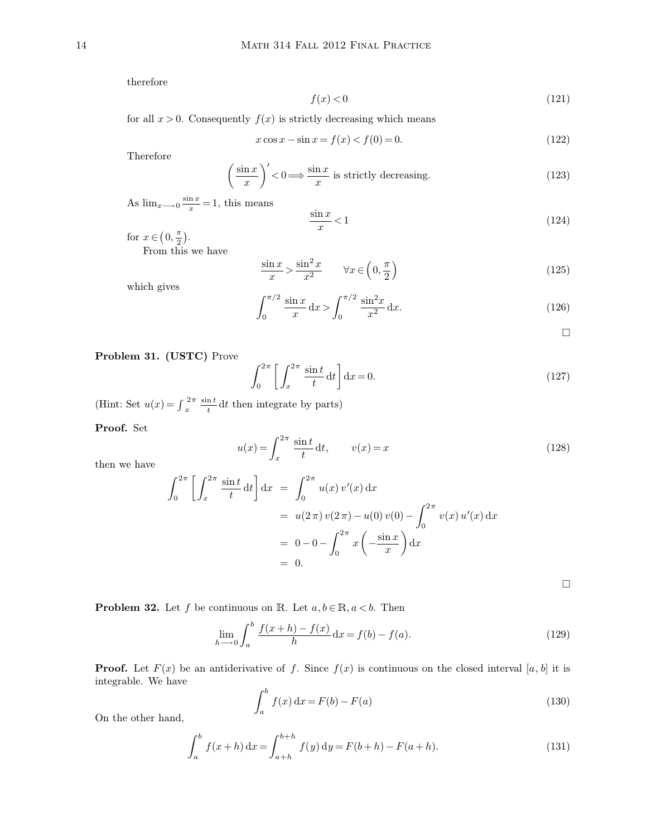therefore

$$
f(x) < 0 \tag{121}
$$

for all  $x > 0$ . Consequently  $f(x)$  is strictly decreasing which means

$$
x\cos x - \sin x = f(x) < f(0) = 0.\tag{122}
$$

Therefore

$$
\left(\frac{\sin x}{x}\right)' < 0 \Longrightarrow \frac{\sin x}{x} \text{ is strictly decreasing.} \tag{123}
$$

As  $\lim_{x\longrightarrow 0} \frac{\sin x}{x}$  $\frac{\ln x}{x} = 1$ , this means

$$
\frac{\sin x}{x} < 1\tag{124}
$$

for  $x \in \left(0, \frac{\pi}{2}\right)$  $\frac{\pi}{2}$ .

From this we have

$$
\frac{\sin x}{x} > \frac{\sin^2 x}{x^2} \qquad \forall x \in \left(0, \frac{\pi}{2}\right) \tag{125}
$$

which gives

$$
\int_0^{\pi/2} \frac{\sin x}{x} dx > \int_0^{\pi/2} \frac{\sin^2 x}{x^2} dx.
$$
 (126)

 $\Box$ 

**Problem 31. (USTC)** Prove

$$
\int_0^{2\pi} \left[ \int_x^{2\pi} \frac{\sin t}{t} dt \right] dx = 0.
$$
 (127)

(Hint: Set  $u(x) = \int_{x}^{x}$  $2\pi \sin t$  $\frac{\ln t}{t}$  dt then integrate by parts)

**Proof.** Set

$$
u(x) = \int_{x}^{2\pi} \frac{\sin t}{t} dt, \qquad v(x) = x \tag{128}
$$

then we have

$$
\int_0^{2\pi} \left[ \int_x^{2\pi} \frac{\sin t}{t} dt \right] dx = \int_0^{2\pi} u(x) v'(x) dx
$$
  
=  $u(2\pi) v(2\pi) - u(0) v(0) - \int_0^{2\pi} v(x) u'(x) dx$   
=  $0 - 0 - \int_0^{2\pi} x \left( -\frac{\sin x}{x} \right) dx$   
= 0.

 $\Box$ 

**Problem 32.** Let f be continuous on R. Let  $a, b \in \mathbb{R}, a < b$ . Then

$$
\lim_{h \to 0} \int_{a}^{b} \frac{f(x+h) - f(x)}{h} dx = f(b) - f(a).
$$
 (129)

**Proof.** Let  $F(x)$  be an antiderivative of f. Since  $f(x)$  is continuous on the closed interval [a, b] it is integrable. We have

$$
\int_{a}^{b} f(x) dx = F(b) - F(a)
$$
\n(130)

On the other hand,

$$
\int_{a}^{b} f(x+h) dx = \int_{a+h}^{b+h} f(y) dy = F(b+h) - F(a+h).
$$
\n(131)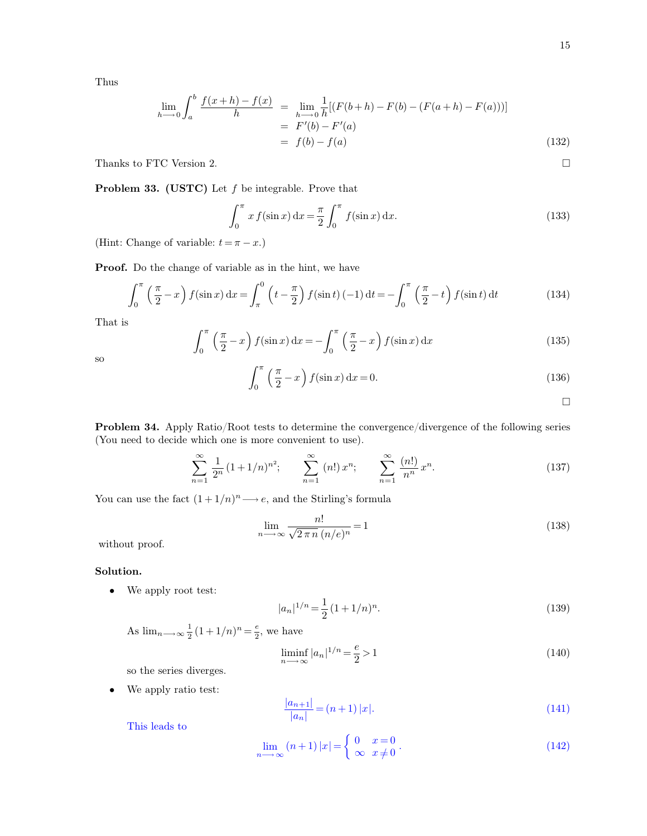Thus

$$
\lim_{h \to 0} \int_{a}^{b} \frac{f(x+h) - f(x)}{h} = \lim_{h \to 0} \frac{1}{h} [(F(b+h) - F(b) - (F(a+h) - F(a)))]
$$
  
=  $F'(b) - F'(a)$   
=  $f(b) - f(a)$  (132)

Thanks to FTC Version 2.

**Problem 33. (USTC)** Let f be integrable. Prove that

$$
\int_0^{\pi} x f(\sin x) dx = \frac{\pi}{2} \int_0^{\pi} f(\sin x) dx.
$$
 (133)

(Hint: Change of variable:  $t = \pi - x$ .)

**Proof.** Do the change of variable as in the hint, we have

$$
\int_0^\pi \left(\frac{\pi}{2} - x\right) f(\sin x) \, \mathrm{d}x = \int_\pi^0 \left(t - \frac{\pi}{2}\right) f(\sin t) \left(-1\right) \mathrm{d}t = -\int_0^\pi \left(\frac{\pi}{2} - t\right) f(\sin t) \, \mathrm{d}t \tag{134}
$$

That is

$$
\int_0^\pi \left(\frac{\pi}{2} - x\right) f(\sin x) \, \mathrm{d}x = -\int_0^\pi \left(\frac{\pi}{2} - x\right) f(\sin x) \, \mathrm{d}x \tag{135}
$$

so

$$
\int_0^\pi \left(\frac{\pi}{2} - x\right) f(\sin x) \, \mathrm{d}x = 0. \tag{136}
$$

 $\Box$ 

**Problem 34.** Apply Ratio/Root tests to determine the convergence/divergence of the following series (You need to decide which one is more convenient to use).

$$
\sum_{n=1}^{\infty} \frac{1}{2^n} (1+1/n)^{n^2}; \qquad \sum_{n=1}^{\infty} (n!) x^n; \qquad \sum_{n=1}^{\infty} \frac{(n!)}{n^n} x^n.
$$
 (137)

You can use the fact  $(1 + 1/n)^n \longrightarrow e$ , and the Stirling's formula

$$
\lim_{n \to \infty} \frac{n!}{\sqrt{2 \pi n} (n/e)^n} = 1
$$
\n(138)

without proof.

#### **Solution.**

• We apply root test:

$$
|a_n|^{1/n} = \frac{1}{2} (1 + 1/n)^n.
$$
\n(139)

As  $\lim_{n\longrightarrow\infty}\frac{1}{2}$  $\frac{1}{2}(1+1/n)^n = \frac{e}{2}$  $\frac{e}{2}$ , we have

$$
\liminf_{n \to \infty} |a_n|^{1/n} = \frac{e}{2} > 1\tag{140}
$$

so the series diverges.

We apply ratio test:

$$
\frac{|a_{n+1}|}{|a_n|} = (n+1) |x|.
$$
\n(141)

This leads to

$$
\lim_{n \to \infty} (n+1)|x| = \begin{cases} 0 & x = 0 \\ \infty & x \neq 0 \end{cases}.
$$
\n(142)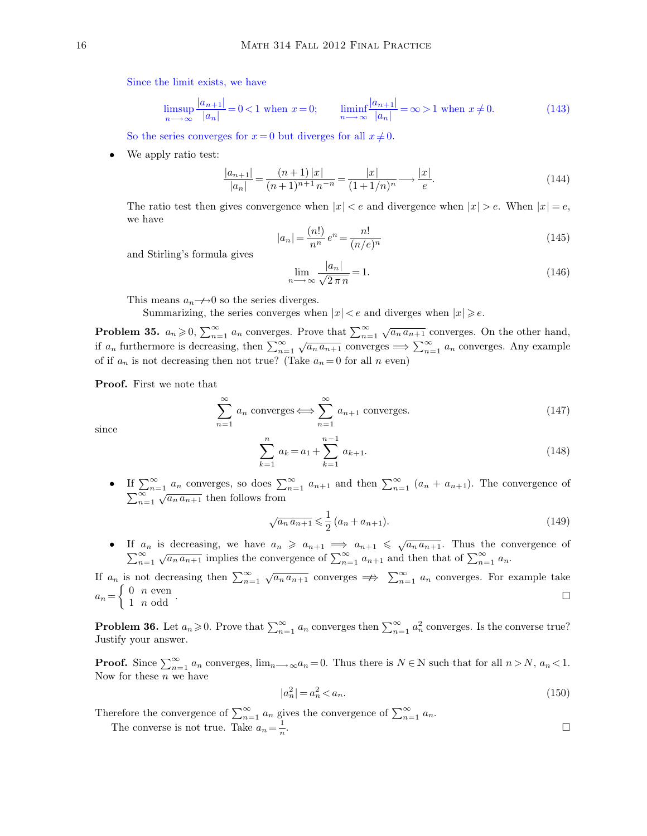Since the limit exists, we have

$$
\limsup_{n \to \infty} \frac{|a_{n+1}|}{|a_n|} = 0 < 1 \text{ when } x = 0; \qquad \liminf_{n \to \infty} \frac{|a_{n+1}|}{|a_n|} = \infty > 1 \text{ when } x \neq 0. \tag{143}
$$

So the series converges for  $x = 0$  but diverges for all  $x \neq 0$ .

We apply ratio test:

$$
\frac{|a_{n+1}|}{|a_n|} = \frac{(n+1)|x|}{(n+1)^{n+1}n^{-n}} = \frac{|x|}{(1+1/n)^n} \longrightarrow \frac{|x|}{e}.
$$
\n(144)

The ratio test then gives convergence when  $|x| < e$  and divergence when  $|x| > e$ . When  $|x| = e$ , we have

$$
|a_n| = \frac{(n!)}{n^n} e^n = \frac{n!}{(n/e)^n}
$$
\n(145)

and Stirling's formula gives

$$
\lim_{n \to \infty} \frac{|a_n|}{\sqrt{2 \pi n}} = 1.
$$
\n(146)

This means  $a_n \rightarrow 0$  so the series diverges.

Summarizing, the series converges when  $|x| < e$  and diverges when  $|x| \geq e$ .

**Problem 35.**  $a_n \geq 0$ ,  $\sum_{n=1}^{\infty} a_n$  converges. Prove that  $\sum_{n=1}^{\infty} \sqrt{a_n a_{n+1}}$  converges. On the other hand, if  $a_n$  furthermore is decreasing, then  $\sum_{n=1}^{\infty} \sqrt{a_n a_{n+1}}$  converges  $\implies \sum_{n=1}^{\infty} a_n$  converges. Any example of if  $a_n$  is not decreasing then not true? (Take  $a_n = 0$  for all  $n$  even)

**Proof.** First we note that

$$
\sum_{n=1}^{\infty} a_n
$$
 converges  $\Longleftrightarrow \sum_{n=1}^{\infty} a_{n+1}$  converges. (147)

since

$$
\sum_{k=1}^{n} a_k = a_1 + \sum_{k=1}^{n-1} a_{k+1}.
$$
\n(148)

• If  $\sum_{n=1}^{\infty} a_n$  converges, so does  $\sum_{n=1}^{\infty} a_{n+1}$  and then  $\sum_{n=1}^{\infty} (a_n + a_{n+1})$ . The convergence of  $\sum_{n=1}^{\infty} \sqrt{a_n a_{n+1}}$  then follows from

$$
\sqrt{a_n a_{n+1}} \leq \frac{1}{2} (a_n + a_{n+1}).
$$
\n(149)

• If  $a_n$  is decreasing, we have  $a_n \geq a_{n+1} \implies a_{n+1} \leq \sqrt{a_n a_{n+1}}$ . Thus the convergence of  $\sum_{n=1}^{\infty} \sqrt{a_n a_{n+1}}$  implies the convergence of  $\sum_{n=1}^{\infty} a_{n+1}$  and then that of  $\sum_{n=1}^{\infty} a_n$ .

If  $a_n$  is not decreasing then  $\sum_{n=1}^{\infty} \sqrt{a_n a_{n+1}}$  converges  $\implies \sum_{n=1}^{\infty} a_n$  converges. For example take  $a_n = \begin{cases} 0 & n \text{ even} \\ 1 & n \text{ odd} \end{cases}$ .

**Problem 36.** Let  $a_n \ge 0$ . Prove that  $\sum_{n=1}^{\infty} a_n$  converges then  $\sum_{n=1}^{\infty} a_n^2$  converges. Is the converse true? Justify your answer.

**Proof.** Since  $\sum_{n=1}^{\infty} a_n$  converges,  $\lim_{n\to\infty} a_n = 0$ . Thus there is  $N \in \mathbb{N}$  such that for all  $n > N$ ,  $a_n < 1$ . Now for these  $n$  we have

$$
|a_n^2| = a_n^2 < a_n. \tag{150}
$$

.

Therefore the convergence of  $\sum_{n=1}^{\infty} a_n$  gives the convergence of  $\sum_{n=1}^{\infty} a_n$ .

The converse is not true. Take  $a_n = \frac{1}{n}$ n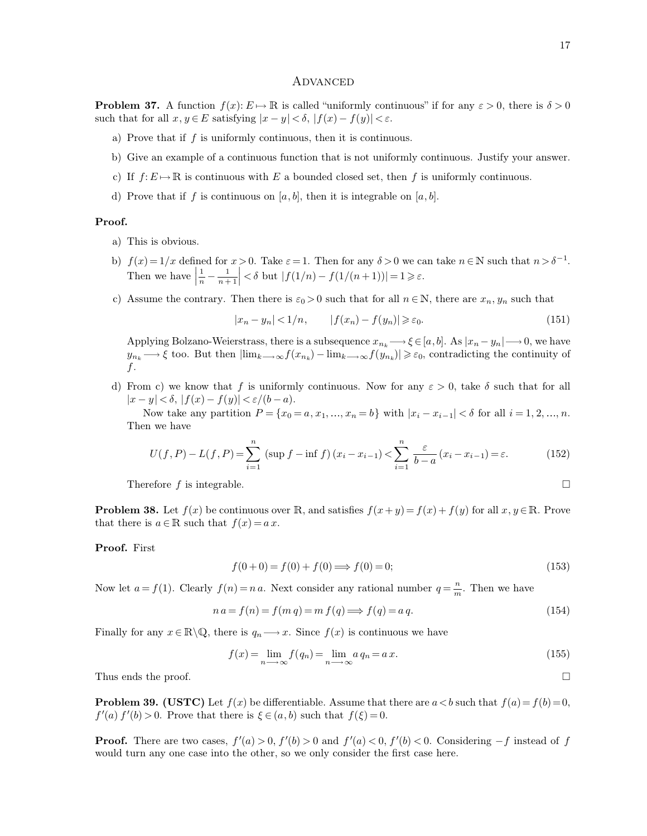### **ADVANCED**

**Problem 37.** A function  $f(x): E \to \mathbb{R}$  is called "uniformly continuous" if for any  $\varepsilon > 0$ , there is  $\delta > 0$ such that for all  $x, y \in E$  satisfying  $|x - y| < \delta$ ,  $|f(x) - f(y)| < \varepsilon$ .

- a) Prove that if  $f$  is uniformly continuous, then it is continuous.
- b) Give an example of a continuous function that is not uniformly continuous. Justify your answer.
- c) If  $f: E \mapsto \mathbb{R}$  is continuous with E a bounded closed set, then f is uniformly continuous.
- d) Prove that if f is continuous on [a, b], then it is integrable on [a, b].

#### **Proof.**

- a) This is obvious.
- b)  $f(x)=1/x$  defined for  $x > 0$ . Take  $\varepsilon =1$ . Then for any  $\delta > 0$  we can take  $n \in \mathbb{N}$  such that  $n > \delta^{-1}$ . Then we have  $\Big|$ 1  $\frac{1}{n} - \frac{1}{n+1}$  $\left|\frac{1}{n+1}\right| < \delta$  but  $|f(1/n) - f(1/(n+1))| = 1 \geq \varepsilon$ .
- c) Assume the contrary. Then there is  $\varepsilon_0 > 0$  such that for all  $n \in \mathbb{N}$ , there are  $x_n, y_n$  such that

$$
|x_n - y_n| < 1/n, \qquad |f(x_n) - f(y_n)| \geq \varepsilon_0. \tag{151}
$$

Applying Bolzano-Weierstrass, there is a subsequence  $x_{n_k} \rightarrow \xi \in [a, b]$ . As  $|x_n - y_n| \rightarrow 0$ , we have  $y_{n_k} \longrightarrow \xi$  too. But then  $|\lim_{k \longrightarrow \infty} f(x_{n_k}) - \lim_{k \longrightarrow \infty} f(y_{n_k})| \geq \varepsilon_0$ , contradicting the continuity of f.

d) From c) we know that f is uniformly continuous. Now for any  $\varepsilon > 0$ , take  $\delta$  such that for all  $|x-y| < \delta, |f(x)-f(y)| < \varepsilon/(b-a).$ 

Now take any partition  $P = \{x_0 = a, x_1, ..., x_n = b\}$  with  $|x_i - x_{i-1}| < \delta$  for all  $i = 1, 2, ..., n$ . Then we have

$$
U(f, P) - L(f, P) = \sum_{i=1}^{n} ( \sup f - \inf f) (x_i - x_{i-1}) < \sum_{i=1}^{n} \frac{\varepsilon}{b-a} (x_i - x_{i-1}) = \varepsilon.
$$
 (152)

Therefore  $f$  is integrable.

**Problem 38.** Let  $f(x)$  be continuous over R, and satisfies  $f(x+y)=f(x)+f(y)$  for all  $x, y \in \mathbb{R}$ . Prove that there is  $a \in \mathbb{R}$  such that  $f(x) = a x$ .

#### **Proof.** First

$$
f(0+0) = f(0) + f(0) \Longrightarrow f(0) = 0;
$$
\n(153)

Now let  $a = f(1)$ . Clearly  $f(n) = n a$ . Next consider any rational number  $q = \frac{n}{m}$  $\frac{n}{m}$ . Then we have

$$
n a = f(n) = f(m q) = m f(q) \Longrightarrow f(q) = a q.
$$
\n
$$
(154)
$$

Finally for any  $x \in \mathbb{R} \backslash \mathbb{Q}$ , there is  $q_n \longrightarrow x$ . Since  $f(x)$  is continuous we have

$$
f(x) = \lim_{n \to \infty} f(q_n) = \lim_{n \to \infty} a q_n = a \, x. \tag{155}
$$

Thus ends the proof.  $\Box$ 

**Problem 39. (USTC)** Let  $f(x)$  be differentiable. Assume that there are  $a < b$  such that  $f(a) = f(b) = 0$ ,  $f'(a) f'(b) > 0$ . Prove that there is  $\xi \in (a, b)$  such that  $f(\xi) = 0$ .

**Proof.** There are two cases,  $f'(a) > 0$ ,  $f'(b) > 0$  and  $f'(a) < 0$ ,  $f'(b) < 0$ . Considering  $-f$  instead of  $f$ would turn any one case into the other, so we only consider the first case here.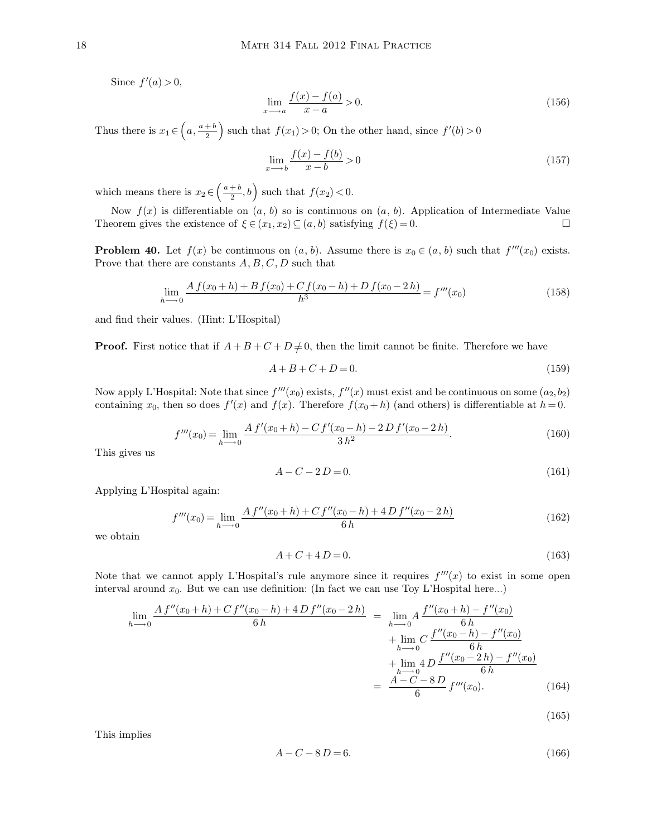Since  $f'(a) > 0$ ,

$$
\lim_{x \to a} \frac{f(x) - f(a)}{x - a} > 0.
$$
\n(156)

Thus there is  $x_1 \in \left(a, \frac{a+b}{2}\right)$  $\left(\frac{1+b}{2}\right)$  such that  $f(x_1) > 0$ ; On the other hand, since  $f'(b) > 0$ 

$$
\lim_{x \to b} \frac{f(x) - f(b)}{x - b} > 0
$$
\n(157)

which means there is  $x_2 \in \left(\frac{a+b}{2}\right)$  $\left(\frac{1+b}{2},b\right)$  such that  $f(x_2) < 0$ .

Now  $f(x)$  is differentiable on  $(a, b)$  so is continuous on  $(a, b)$ . Application of Intermediate Value Theorem gives the existence of  $\xi \in (x_1, x_2) \subseteq (a, b)$  satisfying  $f(\xi) = 0$ .

**Problem 40.** Let  $f(x)$  be continuous on  $(a, b)$ . Assume there is  $x_0 \in (a, b)$  such that  $f'''(x_0)$  exists. Prove that there are constants  $A, B, C, D$  such that

$$
\lim_{h \to 0} \frac{A f(x_0 + h) + B f(x_0) + C f(x_0 - h) + D f(x_0 - 2h)}{h^3} = f'''(x_0)
$$
\n(158)

and find their values. (Hint: L'Hospital)

**Proof.** First notice that if  $A + B + C + D \neq 0$ , then the limit cannot be finite. Therefore we have

$$
A + B + C + D = 0.\t(159)
$$

Now apply L'Hospital: Note that since  $f'''(x_0)$  exists,  $f''(x)$  must exist and be continuous on some  $(a_2, b_2)$ containing  $x_0$ , then so does  $f'(x)$  and  $f(x)$ . Therefore  $f(x_0 + h)$  (and others) is differentiable at  $h = 0$ .

$$
f'''(x_0) = \lim_{h \to 0} \frac{A f'(x_0 + h) - C f'(x_0 - h) - 2 D f'(x_0 - 2 h)}{3 h^2}.
$$
\n(160)

This gives us

$$
A - C - 2D = 0.\t(161)
$$

Applying L'Hospital again:

$$
f'''(x_0) = \lim_{h \to 0} \frac{A f''(x_0 + h) + C f''(x_0 - h) + 4 D f''(x_0 - 2 h)}{6 h}
$$
\n(162)

we obtain

$$
A + C + 4 D = 0. \t(163)
$$

Note that we cannot apply L'Hospital's rule anymore since it requires  $f'''(x)$  to exist in some open interval around  $x_0$ . But we can use definition: (In fact we can use Toy L'Hospital here...)

$$
\lim_{h \to 0} \frac{A f''(x_0 + h) + C f''(x_0 - h) + 4 D f''(x_0 - 2 h)}{6 h} = \lim_{h \to 0} A \frac{f''(x_0 + h) - f''(x_0)}{6 h} + \lim_{h \to 0} C \frac{f''(x_0 - h) - f''(x_0)}{6 h} + \lim_{h \to 0} 4 D \frac{f''(x_0 - 2 h) - f''(x_0)}{6 h} = \frac{A - C - 8 D}{6} f'''(x_0).
$$
(164)

(165)

This implies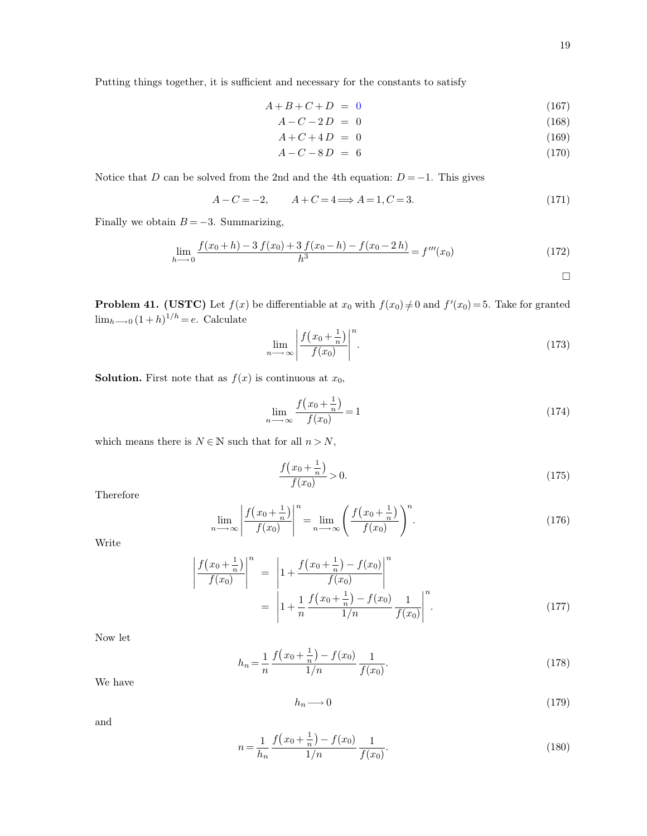Putting things together, it is sufficient and necessary for the constants to satisfy

$$
A + B + C + D = 0 \tag{167}
$$

$$
A - C - 2D = 0 \tag{168}
$$

$$
A + C + 4D = 0 \tag{169}
$$

$$
A - C - 8D = 6 \tag{170}
$$

Notice that D can be solved from the 2nd and the 4th equation:  $D = -1$ . This gives

$$
A - C = -2, \qquad A + C = 4 \Longrightarrow A = 1, C = 3. \tag{171}
$$

Finally we obtain  $B = -3$ . Summarizing,

$$
\lim_{h \to 0} \frac{f(x_0 + h) - 3 f(x_0) + 3 f(x_0 - h) - f(x_0 - 2 h)}{h^3} = f'''(x_0)
$$
\n(172)

 $\Box$ 

**Problem 41. (USTC)** Let  $f(x)$  be differentiable at  $x_0$  with  $f(x_0) \neq 0$  and  $f'(x_0) = 5$ . Take for granted  $\lim_{h\longrightarrow 0} (1 + h)^{1/h} = e$ . Calculate

$$
\lim_{n \to \infty} \left| \frac{f\left(x_0 + \frac{1}{n}\right)}{f(x_0)} \right|^n. \tag{173}
$$

**Solution.** First note that as  $f(x)$  is continuous at  $x_0$ ,

$$
\lim_{n \to \infty} \frac{f\left(x_0 + \frac{1}{n}\right)}{f(x_0)} = 1\tag{174}
$$

which means there is  $N \in \mathbb{N}$  such that for all  $n > N$ ,

$$
\frac{f(x_0 + \frac{1}{n})}{f(x_0)} > 0.
$$
\n(175)

Therefore

$$
\lim_{n \to \infty} \left| \frac{f\left(x_0 + \frac{1}{n}\right)}{f(x_0)} \right|^n = \lim_{n \to \infty} \left( \frac{f\left(x_0 + \frac{1}{n}\right)}{f(x_0)} \right)^n. \tag{176}
$$

Write

$$
\left| \frac{f(x_0 + \frac{1}{n})}{f(x_0)} \right|^n = \left| 1 + \frac{f(x_0 + \frac{1}{n}) - f(x_0)}{f(x_0)} \right|^n
$$

$$
= \left| 1 + \frac{1}{n} \frac{f(x_0 + \frac{1}{n}) - f(x_0)}{1/n} \frac{1}{f(x_0)} \right|^n.
$$
(177)

Now let

$$
h_n = \frac{1}{n} \frac{f\left(x_0 + \frac{1}{n}\right) - f(x_0)}{1/n} \frac{1}{f(x_0)}.\tag{178}
$$

We have

$$
h_n \longrightarrow 0 \tag{179}
$$

and

$$
n = \frac{1}{h_n} \frac{f\left(x_0 + \frac{1}{n}\right) - f(x_0)}{1/n} \frac{1}{f(x_0)}.
$$
\n(180)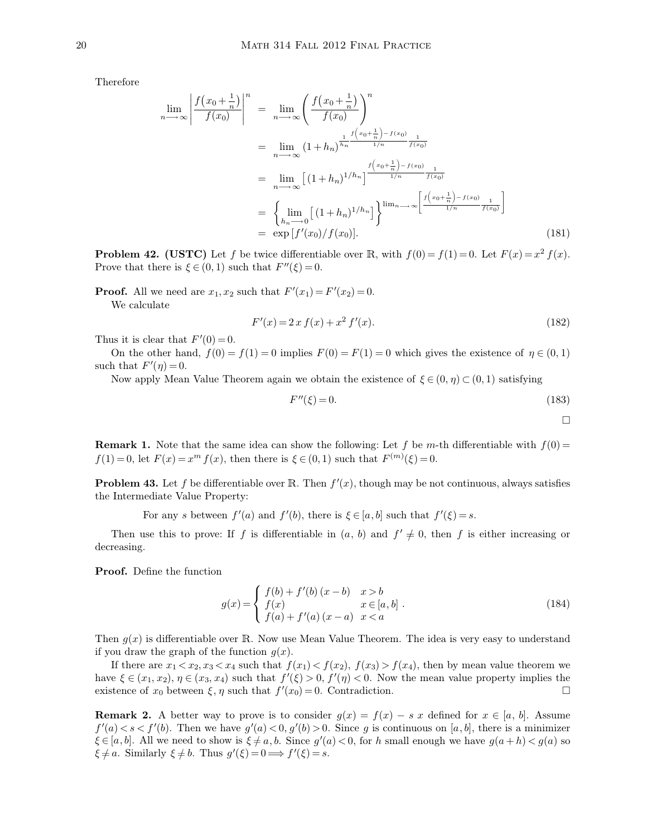Therefore

$$
\lim_{n \to \infty} \left| \frac{f(x_0 + \frac{1}{n})}{f(x_0)} \right|^n = \lim_{n \to \infty} \left( \frac{f(x_0 + \frac{1}{n})}{f(x_0)} \right)^n
$$
\n
$$
= \lim_{n \to \infty} (1 + h_n)^{\frac{1}{h_n}} \frac{f(x_0 + \frac{1}{n}) - f(x_0)}{1/n} \frac{1}{f(x_0)}
$$
\n
$$
= \lim_{n \to \infty} \left[ (1 + h_n)^{1/h_n} \right] \frac{f(x_0 + \frac{1}{n}) - f(x_0)}{1/n} \frac{1}{f(x_0)}
$$
\n
$$
= \left\{ \lim_{h_n \to 0} \left[ (1 + h_n)^{1/h_n} \right] \right\}^{\lim_{n \to \infty} \left[ \frac{f(x_0 + \frac{1}{n}) - f(x_0)}{1/n} \frac{1}{f(x_0)} \right]}
$$
\n
$$
= \exp \left[ f'(x_0) / f(x_0) \right]. \tag{181}
$$

**Problem 42. (USTC)** Let f be twice differentiable over R, with  $f(0) = f(1) = 0$ . Let  $F(x) = x^2 f(x)$ . Prove that there is  $\xi \in (0, 1)$  such that  $F''(\xi) = 0$ .

**Proof.** All we need are  $x_1, x_2$  such that  $F'(x_1) = F'(x_2) = 0$ . We calculate

$$
F'(x) = 2x f(x) + x^2 f'(x).
$$
\n(182)

Thus it is clear that  $F'(0) = 0$ .

On the other hand,  $f(0) = f(1) = 0$  implies  $F(0) = F(1) = 0$  which gives the existence of  $\eta \in (0, 1)$ such that  $F'(\eta)=0$ .

Now apply Mean Value Theorem again we obtain the existence of  $\xi \in (0, \eta) \subset (0, 1)$  satisfying

$$
F''(\xi) = 0.\tag{183}
$$

 $\Box$ 

**Remark 1.** Note that the same idea can show the following: Let f be m-th differentiable with  $f(0) =$  $f(1) = 0$ , let  $F(x) = x^m f(x)$ , then there is  $\xi \in (0, 1)$  such that  $F^{(m)}(\xi) = 0$ .

**Problem 43.** Let f be differentiable over R. Then  $f'(x)$ , though may be not continuous, always satisfies the Intermediate Value Property:

For any s between  $f'(a)$  and  $f'(b)$ , there is  $\xi \in [a, b]$  such that  $f'(\xi) = s$ .

Then use this to prove: If f is differentiable in  $(a, b)$  and  $f' \neq 0$ , then f is either increasing or decreasing.

**Proof.** Define the function

$$
g(x) = \begin{cases} f(b) + f'(b)(x - b) & x > b \\ f(x) & x \in [a, b] \\ f(a) + f'(a)(x - a) & x < a \end{cases}
$$
 (184)

Then  $g(x)$  is differentiable over R. Now use Mean Value Theorem. The idea is very easy to understand if you draw the graph of the function  $q(x)$ .

If there are  $x_1 < x_2, x_3 < x_4$  such that  $f(x_1) < f(x_2), f(x_3) > f(x_4)$ , then by mean value theorem we have  $\xi \in (x_1, x_2), \eta \in (x_3, x_4)$  such that  $f'(\xi) > 0$ ,  $f'(\eta) < 0$ . Now the mean value property implies the existence of  $x_0$  between  $\xi, \eta$  such that  $f'(x_0) = 0$ . Contradiction.

**Remark 2.** A better way to prove is to consider  $g(x) = f(x) - s x$  defined for  $x \in [a, b]$ . Assume  $f'(a) < s < f'(b)$ . Then we have  $g'(a) < 0, g'(b) > 0$ . Since g is continuous on [a, b], there is a minimizer  $\xi \in [a, b]$ . All we need to show is  $\xi \neq a, b$ . Since  $g'(a) < 0$ , for h small enough we have  $g(a+h) < g(a)$  so  $\xi \neq a$ . Similarly  $\xi \neq b$ . Thus  $g'(\xi) = 0 \Longrightarrow f'(\xi) = s$ .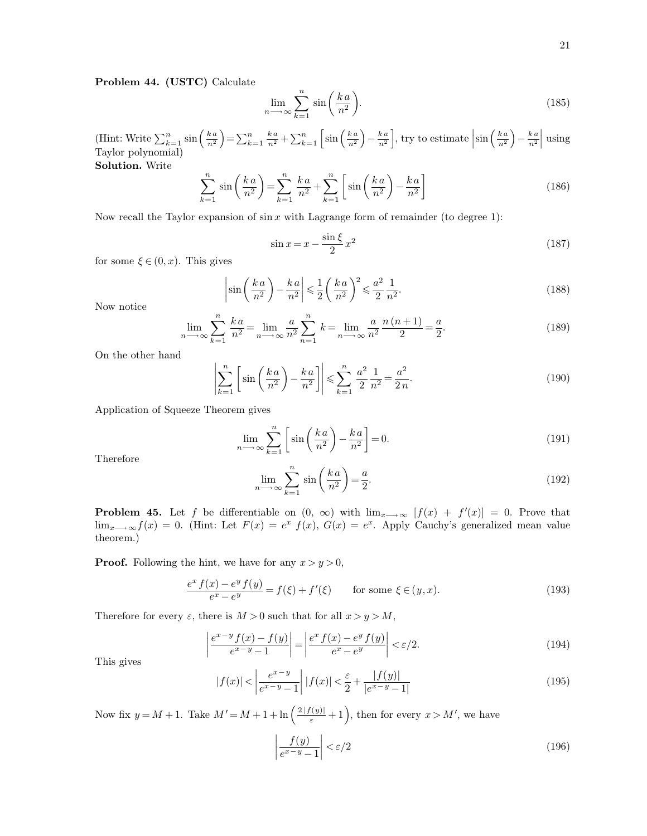### **Problem 44. (USTC)** Calculate

$$
\lim_{n \to \infty} \sum_{k=1}^{n} \sin\left(\frac{ka}{n^2}\right). \tag{185}
$$

(Hint: Write  $\sum_{k=1}^n$  $\int_{k=1}^{n} \sin \left( \frac{k a}{n^2} \right)$  $\left(\frac{k a}{n^2}\right) = \sum_{k=1}^n$  $_{k=1}^{n}$   $_{n^{2}}^{k}$  +  $\sum_{k=1}^{n}$  $\int_{k=1}^{n} \sin \left( \frac{k a}{n^2} \right)$  $\left(\frac{ka}{n^2}\right)-\frac{ka}{n^2}$  $\left\lfloor \frac{k a}{n^2} \right\rfloor$ , try to estimate  $\left| \sin \left( \frac{k a}{n^2} \right) \right|$  $\left(\frac{ka}{n^2}\right)-\frac{ka}{n^2}$ (Hint: Write  $\sum_{k=1}^{n} \sin\left(\frac{k a}{n^2}\right) = \sum_{k=1}^{n} \frac{k a}{n^2} + \sum_{k=1}^{n} \left[\sin\left(\frac{k a}{n^2}\right) - \frac{k a}{n^2}\right]$ , try to estimate  $\left|\sin\left(\frac{k a}{n^2}\right) - \frac{k a}{n^2}\right|$  using Taylor polynomial) **Solution.** Write

> $\sum$  $k=1$  $\sum_{n=1}^{n} \sin \left( \frac{ka}{2} \right)$  $n<sup>2</sup>$  $=$  $\sum_{n=1}^{n}$  $k=1$  $\sum_{n=1}^{n} \frac{ka}{n^2} + \sum_{n=1}^{n}$  $k=1$  $\sum_{n=1}^{\infty}$   $\sin\left(\frac{ka}{2}\right)$  $n<sup>2</sup>$  $\setminus$ − k a  $n<sup>2</sup>$ 1 (186)

Now recall the Taylor expansion of  $\sin x$  with Lagrange form of remainder (to degree 1):

$$
\sin x = x - \frac{\sin \xi}{2} x^2 \tag{187}
$$

for some  $\xi \in (0, x)$ . This gives

$$
\left|\sin\left(\frac{k\,a}{n^2}\right) - \frac{k\,a}{n^2}\right| \leq \frac{1}{2}\left(\frac{k\,a}{n^2}\right)^2 \leq \frac{a^2}{2}\frac{1}{n^2}.\tag{188}
$$

Now notice

$$
\lim_{n \to \infty} \sum_{k=1}^{n} \frac{ka}{n^2} = \lim_{n \to \infty} \frac{a}{n^2} \sum_{n=1}^{n} k = \lim_{n \to \infty} \frac{a}{n^2} \frac{n(n+1)}{2} = \frac{a}{2}.
$$
 (189)

On the other hand

$$
\left| \sum_{k=1}^{n} \left[ \sin \left( \frac{k a}{n^2} \right) - \frac{k a}{n^2} \right] \right| \leq \sum_{k=1}^{n} \frac{a^2}{2n^2} = \frac{a^2}{2n}.
$$
 (190)

Application of Squeeze Theorem gives

$$
\lim_{n \to \infty} \sum_{k=1}^{n} \left[ \sin\left(\frac{ka}{n^2}\right) - \frac{ka}{n^2} \right] = 0. \tag{191}
$$

Therefore

$$
\lim_{n \to \infty} \sum_{k=1}^{n} \sin\left(\frac{ka}{n^2}\right) = \frac{a}{2}.\tag{192}
$$

**Problem 45.** Let f be differentiable on  $(0, \infty)$  with  $\lim_{x \to \infty} [f(x) + f'(x)] = 0$ . Prove that  $\lim_{x\to\infty} f(x) = 0$ . (Hint: Let  $F(x) = e^x f(x)$ ,  $G(x) = e^x$ . Apply Cauchy's generalized mean value theorem.)

**Proof.** Following the hint, we have for any  $x > y > 0$ ,

$$
\frac{e^x f(x) - e^y f(y)}{e^x - e^y} = f(\xi) + f'(\xi) \qquad \text{for some } \xi \in (y, x). \tag{193}
$$

Therefore for every  $\varepsilon$ , there is  $M > 0$  such that for all  $x > y > M$ ,

$$
\left| \frac{e^{x-y} f(x) - f(y)}{e^{x-y} - 1} \right| = \left| \frac{e^x f(x) - e^y f(y)}{e^x - e^y} \right| < \varepsilon/2. \tag{194}
$$

This gives

$$
|f(x)| < \left| \frac{e^{x-y}}{e^{x-y} - 1} \right| |f(x)| < \frac{\varepsilon}{2} + \frac{|f(y)|}{|e^{x-y} - 1|}
$$
\n(195)

Now fix  $y = M + 1$ . Take  $M' = M + 1 + \ln\left(\frac{2|f(y)|}{\varepsilon} + 1\right)$ , then for every  $x > M'$ , we have

$$
\left| \frac{f(y)}{e^{x-y} - 1} \right| < \varepsilon/2 \tag{196}
$$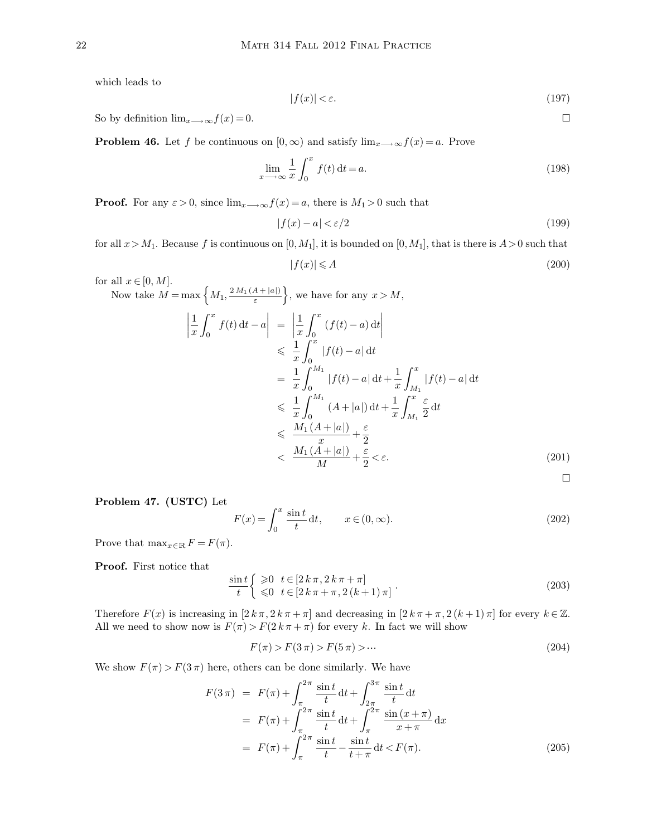which leads to

$$
|f(x)| < \varepsilon. \tag{197}
$$

So by definition  $\lim_{x\longrightarrow\infty}f(x)=0.$ 

**Problem 46.** Let f be continuous on  $[0, \infty)$  and satisfy  $\lim_{x \to \infty} f(x) = a$ . Prove

$$
\lim_{x \to \infty} \frac{1}{x} \int_0^x f(t) dt = a.
$$
\n(198)

**Proof.** For any  $\varepsilon > 0$ , since  $\lim_{x \to \infty} f(x) = a$ , there is  $M_1 > 0$  such that

$$
|f(x) - a| < \varepsilon/2 \tag{199}
$$

for all  $x > M_1$ . Because f is continuous on  $[0, M_1]$ , it is bounded on  $[0, M_1]$ , that is there is  $A > 0$  such that

$$
|f(x)| \leqslant A \tag{200}
$$

for all  $x \in [0, M]$ .

Now take  $M = \max\left\{M_1, \frac{2 M_1 (A + |a|)}{\varepsilon}\right\}$ , we have for any  $x > M$ ,  $\begin{array}{c} \begin{array}{c} \begin{array}{c} \end{array} \\ \begin{array}{c} \end{array} \end{array} \end{array}$ 1  $\boldsymbol{x}$ Z 0 x  $f(t) dt - a$  =  $\Big|$ 1  $\boldsymbol{x}$ Z 0 x  $(f(t) - a) dt$  $\leqslant$   $\frac{1}{1}$  $\boldsymbol{x}$ Z 0 x  $|f(t) - a| dt$  $=$  $\frac{1}{1}$  $\boldsymbol{x}$ Z 0  $M_1$  $|f(t) - a| dt + \frac{1}{x}$  $\boldsymbol{x}$ Z  $M_1$ x  $|f(t) - a| dt$  $\leqslant$   $\frac{1}{1}$  $\boldsymbol{x}$ Z 0  $M_1$  $(A+|a|)\mathrm{d}t+\frac{1}{x}$  $\boldsymbol{x}$ Z  $M_1$  $\begin{matrix} x \\ \varepsilon \end{matrix}$  $\frac{c}{2}$ dt  $\leqslant \frac{M_1(A + |a|)}{A}$  $\frac{4+|a|}{x} + \frac{\varepsilon}{2}$ 2  $\leq \frac{M_1(A+|a|)}{M}$  $\frac{A+|a|}{M}+\frac{\varepsilon}{2}$ 2  $(201)$ 

 $\Box$ 

**Problem 47. (USTC)** Let

$$
F(x) = \int_0^x \frac{\sin t}{t} dt, \qquad x \in (0, \infty).
$$
 (202)

Prove that  $\max_{x \in \mathbb{R}} F = F(\pi)$ .

**Proof.** First notice that

$$
\frac{\sin t}{t} \begin{cases} \geqslant 0 & t \in [2k\pi, 2k\pi + \pi] \\ \leqslant 0 & t \in [2k\pi + \pi, 2(k+1)\pi] \end{cases} \tag{203}
$$

Therefore  $F(x)$  is increasing in  $[2 k \pi, 2 k \pi + \pi]$  and decreasing in  $[2 k \pi + \pi, 2 (k+1) \pi]$  for every  $k \in \mathbb{Z}$ . All we need to show now is  $F(\pi) > F(2 k \pi + \pi)$  for every k. In fact we will show

$$
F(\pi) > F(3\pi) > F(5\pi) > \cdots \tag{204}
$$

We show  $F(\pi) > F(3\pi)$  here, others can be done similarly. We have

$$
F(3 \pi) = F(\pi) + \int_{\pi}^{2\pi} \frac{\sin t}{t} dt + \int_{2\pi}^{3\pi} \frac{\sin t}{t} dt
$$
  
=  $F(\pi) + \int_{\pi}^{2\pi} \frac{\sin t}{t} dt + \int_{\pi}^{2\pi} \frac{\sin (x + \pi)}{x + \pi} dx$   
=  $F(\pi) + \int_{\pi}^{2\pi} \frac{\sin t}{t} - \frac{\sin t}{t + \pi} dt < F(\pi).$  (205)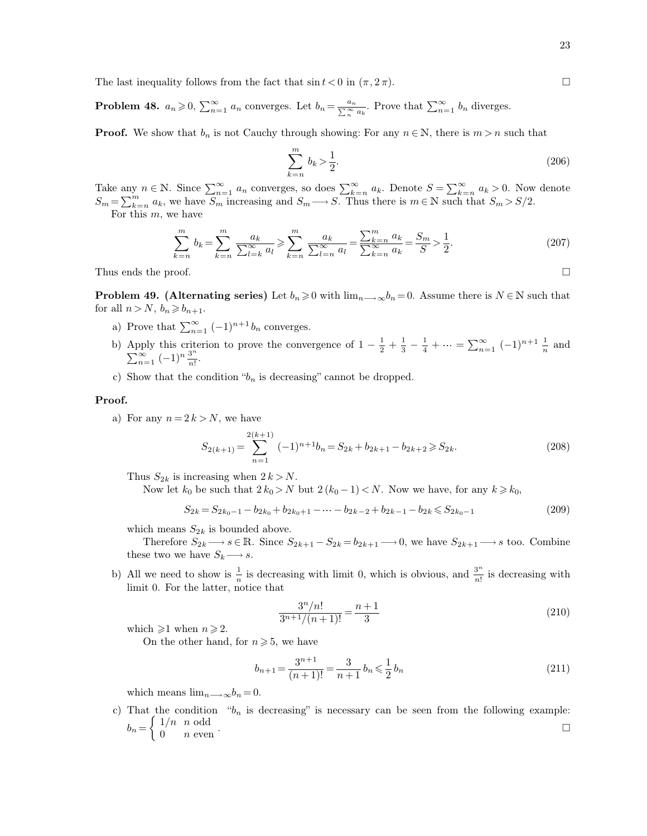The last inequality follows from the fact that  $\sin t < 0$  in  $(\pi, 2\pi)$ .

**Problem 48.**  $a_n \geq 0$ ,  $\sum_{n=1}^{\infty} a_n$  converges. Let  $b_n = \frac{a_n}{\sum_{n=1}^{\infty} a_n}$  $\frac{a_n}{\sum_{n=1}^{\infty} b_n}$  diverges.

**Proof.** We show that  $b_n$  is not Cauchy through showing: For any  $n \in \mathbb{N}$ , there is  $m > n$  such that

$$
\sum_{k=n}^{m} b_k > \frac{1}{2}.\tag{206}
$$

Take any  $n \in \mathbb{N}$ . Since  $\sum_{n=1}^{\infty} a_n$  converges, so does  $\sum_{k=n}^{\infty} a_k$ . Denote  $S = \sum_{k=n}^{\infty} a_k > 0$ . Now denote  $S_m = \sum_{k=n}^{m} a_k$ , we have  $S_m$  increasing and  $S_m \longrightarrow S$ . Thus there is  $m \in \mathbb{N}$  such that  $S_m > S/2$ . For this  $m$ , we have

$$
\sum_{k=n}^{m} b_k = \sum_{k=n}^{m} \frac{a_k}{\sum_{l=k}^{\infty} a_l} \ge \sum_{k=n}^{m} \frac{a_k}{\sum_{l=n}^{\infty} a_l} = \frac{\sum_{k=n}^{m} a_k}{\sum_{k=n}^{\infty} a_k} = \frac{S_m}{S} > \frac{1}{2}.
$$
 (207)

Thus ends the proof.  $\Box$ 

**Problem 49. (Alternating series)** Let  $b_n \geq 0$  with  $\lim_{n \to \infty} b_n = 0$ . Assume there is  $N \in \mathbb{N}$  such that for all  $n > N$ ,  $b_n \geq b_{n+1}$ .

- a) Prove that  $\sum_{n=1}^{\infty} (-1)^{n+1} b_n$  converges.
- b) Apply this criterion to prove the convergence of  $1-\frac{1}{2}$  $\frac{1}{2} + \frac{1}{3}$  $rac{1}{3} - \frac{1}{4}$  $\frac{1}{4} + \cdots = \sum_{n=1}^{\infty} (-1)^{n+1} \frac{1}{n}$ Apply this criterion to prove the convergence of  $1 - \frac{1}{2} + \frac{1}{3} - \frac{1}{4} + \cdots = \sum_{n=1}^{\infty} (-1)^{n+1} \frac{1}{n}$  and  $\sum_{n=1}^{\infty} (-1)^n \frac{3^n}{n!}$ .  $\sum_{n=1}^{\infty}$   $(-1)^n \frac{3^n}{n!}$  $\frac{5}{n!}$ .
- c) Show that the condition " $b_n$  is decreasing" cannot be dropped.

#### **Proof.**

a) For any  $n = 2k > N$ , we have

$$
S_{2(k+1)} = \sum_{n=1}^{2(k+1)} (-1)^{n+1} b_n = S_{2k} + b_{2k+1} - b_{2k+2} \ge S_{2k}.
$$
 (208)

Thus  $S_{2k}$  is increasing when  $2k > N$ .

Now let  $k_0$  be such that  $2 k_0 > N$  but  $2 (k_0 - 1) < N$ . Now we have, for any  $k \geq k_0$ ,

$$
S_{2k} = S_{2k_0 - 1} - b_{2k_0} + b_{2k_0 + 1} - \dots - b_{2k - 2} + b_{2k - 1} - b_{2k} \le S_{2k_0 - 1}
$$
\n
$$
(209)
$$

which means  $S_{2k}$  is bounded above.

Therefore  $S_{2k} \longrightarrow s \in \mathbb{R}$ . Since  $S_{2k+1} - S_{2k} = b_{2k+1} \longrightarrow 0$ , we have  $S_{2k+1} \longrightarrow s$  too. Combine these two we have  $S_k \longrightarrow s$ .

b) All we need to show is  $\frac{1}{n}$  is decreasing with limit 0, which is obvious, and  $\frac{3^n}{n!}$  $\frac{5}{n!}$  is decreasing with limit 0. For the latter, notice that

$$
\frac{3^n/n!}{3^{n+1}/(n+1)!} = \frac{n+1}{3}
$$
\n(210)

which  $\geqslant$  1 when  $n \geqslant 2$ .

On the other hand, for  $n \geqslant 5$ , we have

$$
b_{n+1} = \frac{3^{n+1}}{(n+1)!} = \frac{3}{n+1} b_n \le \frac{1}{2} b_n \tag{211}
$$

which means  $\lim_{n\longrightarrow\infty}b_n=0$ .

c) That the condition " $b_n$  is decreasing" is necessary can be seen from the following example:  $b_n = \begin{cases} 1/n & n \text{ odd} \\ 0 & n \text{ even} \end{cases}$ 0  $n$  even .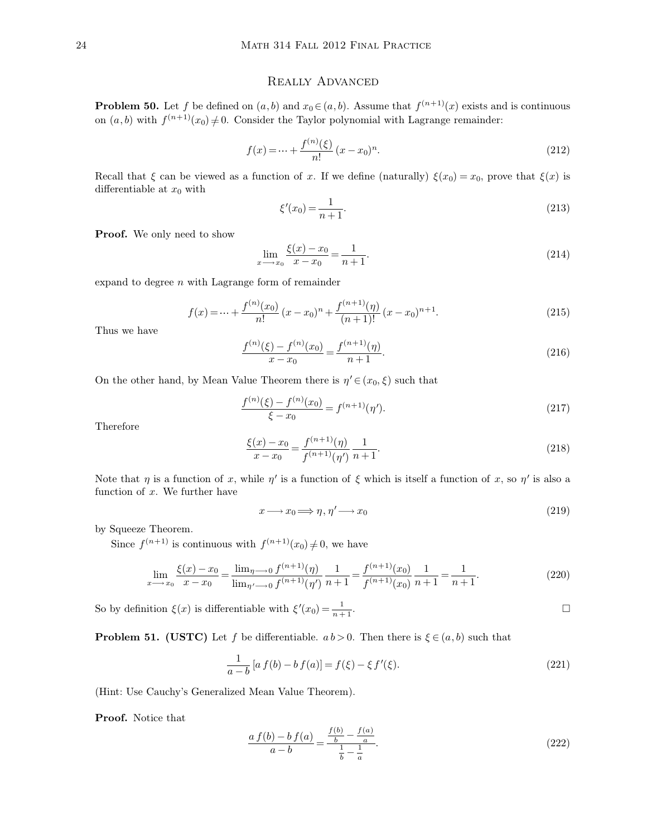# Really Advanced

**Problem 50.** Let f be defined on  $(a, b)$  and  $x_0 \in (a, b)$ . Assume that  $f^{(n+1)}(x)$  exists and is continuous on  $(a, b)$  with  $f^{(n+1)}(x_0) \neq 0$ . Consider the Taylor polynomial with Lagrange remainder:

$$
f(x) = \dots + \frac{f^{(n)}(\xi)}{n!} (x - x_0)^n.
$$
 (212)

Recall that  $\xi$  can be viewed as a function of x. If we define (naturally)  $\xi(x_0) = x_0$ , prove that  $\xi(x)$  is differentiable at  $x_0$  with

$$
\xi'(x_0) = \frac{1}{n+1}.\tag{213}
$$

**Proof.** We only need to show

$$
\lim_{x \to x_0} \frac{\xi(x) - x_0}{x - x_0} = \frac{1}{n+1}.\tag{214}
$$

expand to degree  $n$  with Lagrange form of remainder

$$
f(x) = \dots + \frac{f^{(n)}(x_0)}{n!} (x - x_0)^n + \frac{f^{(n+1)}(\eta)}{(n+1)!} (x - x_0)^{n+1}.
$$
 (215)

Thus we have

$$
\frac{f^{(n)}(\xi) - f^{(n)}(x_0)}{x - x_0} = \frac{f^{(n+1)}(\eta)}{n+1}.
$$
\n(216)

On the other hand, by Mean Value Theorem there is  $\eta' \in (x_0, \xi)$  such that

$$
\frac{f^{(n)}(\xi) - f^{(n)}(x_0)}{\xi - x_0} = f^{(n+1)}(\eta').
$$
\n(217)

Therefore

$$
\frac{\xi(x) - x_0}{x - x_0} = \frac{f^{(n+1)}(\eta)}{f^{(n+1)}(\eta')} \frac{1}{n+1}.
$$
\n(218)

Note that  $\eta$  is a function of x, while  $\eta'$  is a function of  $\xi$  which is itself a function of x, so  $\eta'$  is also a function of  $x$ . We further have

$$
x \longrightarrow x_0 \Longrightarrow \eta, \eta' \longrightarrow x_0 \tag{219}
$$

by Squeeze Theorem.

Since  $f^{(n+1)}$  is continuous with  $f^{(n+1)}(x_0) \neq 0$ , we have

$$
\lim_{x \to x_0} \frac{\xi(x) - x_0}{x - x_0} = \frac{\lim_{\eta \to 0} f^{(n+1)}(\eta)}{\lim_{\eta' \to 0} f^{(n+1)}(\eta')} \frac{1}{n+1} = \frac{f^{(n+1)}(x_0)}{f^{(n+1)}(x_0)} \frac{1}{n+1} = \frac{1}{n+1}.
$$
\n(220)

So by definition  $\xi(x)$  is differentiable with  $\xi'(x_0) = \frac{1}{x_0 + x_0}$  $\frac{1}{n+1}$ .

**Problem 51. (USTC)** Let f be differentiable.  $ab > 0$ . Then there is  $\xi \in (a, b)$  such that

$$
\frac{1}{a-b} [a f(b) - b f(a)] = f(\xi) - \xi f'(\xi).
$$
\n(221)

(Hint: Use Cauchy's Generalized Mean Value Theorem).

**Proof.** Notice that

$$
\frac{af(b) - bf(a)}{a - b} = \frac{\frac{f(b)}{b} - \frac{f(a)}{a}}{\frac{1}{b} - \frac{1}{a}}.\tag{222}
$$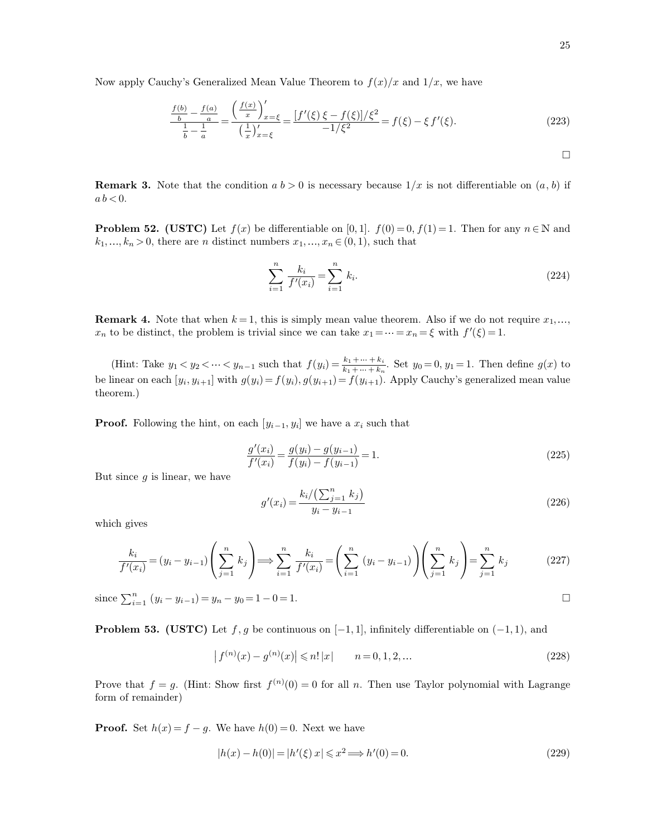Now apply Cauchy's Generalized Mean Value Theorem to  $f(x)/x$  and  $1/x$ , we have

$$
\frac{\frac{f(b)}{b} - \frac{f(a)}{a}}{\frac{1}{b} - \frac{1}{a}} = \frac{\left(\frac{f(x)}{x}\right)'_{x=\xi}}{\left(\frac{1}{x}\right)'_{x=\xi}} = \frac{\left[f'(\xi)\xi - f(\xi)\right]/\xi^2}{-1/\xi^2} = f(\xi) - \xi f'(\xi). \tag{223}
$$

**Remark 3.** Note that the condition  $a b > 0$  is necessary because  $1/x$  is not differentiable on  $(a, b)$  if  $a b < 0.$ 

**Problem 52. (USTC)** Let  $f(x)$  be differentiable on [0,1].  $f(0)=0, f(1)=1$ . Then for any  $n \in \mathbb{N}$  and  $k_1, ..., k_n > 0$ , there are *n* distinct numbers  $x_1, ..., x_n \in (0, 1)$ , such that

$$
\sum_{i=1}^{n} \frac{k_i}{f'(x_i)} = \sum_{i=1}^{n} k_i.
$$
 (224)

**Remark 4.** Note that when  $k = 1$ , this is simply mean value theorem. Also if we do not require  $x_1, \ldots,$  $x_n$  to be distinct, the problem is trivial since we can take  $x_1 = \cdots = x_n = \xi$  with  $f'(\xi) = 1$ .

(Hint: Take  $y_1 < y_2 < \cdots < y_{n-1}$  such that  $f(y_i) = \frac{k_1 + \cdots + k_i}{k_1 + \cdots + k_n}$  $\frac{k_1 + \dots + k_i}{k_1 + \dots + k_n}$ . Set  $y_0 = 0, y_1 = 1$ . Then define  $g(x)$  to be linear on each  $[y_i, y_{i+1}]$  with  $g(y_i) = f(y_i), g(y_{i+1}) = f(y_{i+1})$ . Apply Cauchy's generalized mean value theorem.)

**Proof.** Following the hint, on each  $[y_{i-1}, y_i]$  we have a  $x_i$  such that

$$
\frac{g'(x_i)}{f'(x_i)} = \frac{g(y_i) - g(y_{i-1})}{f(y_i) - f(y_{i-1})} = 1.
$$
\n(225)

But since  $g$  is linear, we have

$$
g'(x_i) = \frac{k_i/(\sum_{j=1}^n k_j)}{y_i - y_{i-1}}\tag{226}
$$

which gives

$$
\frac{k_i}{f'(x_i)} = (y_i - y_{i-1}) \left( \sum_{j=1}^n k_j \right) \Longrightarrow \sum_{i=1}^n \frac{k_i}{f'(x_i)} = \left( \sum_{i=1}^n (y_i - y_{i-1}) \right) \left( \sum_{j=1}^n k_j \right) = \sum_{j=1}^n k_j \tag{227}
$$

since  $\sum_{i=1}^n$  $\sum_{i=1}^{n} (y_i - y_{i-1}) = y_n - y_0 = 1 - 0 = 1.$ 

**Problem 53. (USTC)** Let  $f, g$  be continuous on  $[-1, 1]$ , infinitely differentiable on  $(-1, 1)$ , and

$$
|f^{(n)}(x) - g^{(n)}(x)| \le n! |x| \qquad n = 0, 1, 2, ... \tag{228}
$$

Prove that  $f = g$ . (Hint: Show first  $f^{(n)}(0) = 0$  for all n. Then use Taylor polynomial with Lagrange form of remainder)

**Proof.** Set  $h(x) = f - g$ . We have  $h(0) = 0$ . Next we have

$$
|h(x) - h(0)| = |h'(\xi)x| \le x^2 \Longrightarrow h'(0) = 0.
$$
\n
$$
(229)
$$

 $\Box$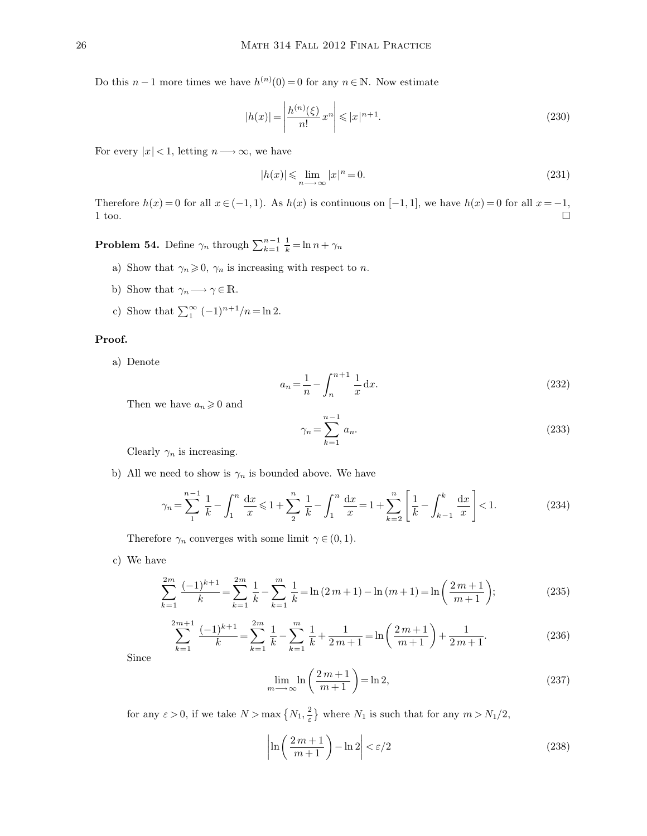Do this  $n-1$  more times we have  $h^{(n)}(0) = 0$  for any  $n \in \mathbb{N}$ . Now estimate

$$
|h(x)| = \left| \frac{h^{(n)}(\xi)}{n!} x^n \right| \leq |x|^{n+1}.
$$
 (230)

For every  $|x| < 1$ , letting  $n \longrightarrow \infty$ , we have

$$
|h(x)| \leqslant \lim_{n \to \infty} |x|^n = 0. \tag{231}
$$

Therefore  $h(x) = 0$  for all  $x \in (-1, 1)$ . As  $h(x)$  is continuous on  $[-1, 1]$ , we have  $h(x) = 0$  for all  $x = -1$ , 1 too. 1 too.

**Problem 54.** Define  $\gamma_n$  through  $\sum_{k=1}^{n-1} \frac{1}{k} = \ln n + \gamma_n$ 

- a) Show that  $\gamma_n \geqslant 0$ ,  $\gamma_n$  is increasing with respect to n.
- b) Show that  $\gamma_n \longrightarrow \gamma \in \mathbb{R}$ .
- c) Show that  $\sum_{1}^{\infty} (-1)^{n+1}/n = \ln 2$ .

### **Proof.**

a) Denote

$$
a_n = \frac{1}{n} - \int_n^{n+1} \frac{1}{x} dx.
$$
 (232)

Then we have  $a_n \geq 0$  and

$$
\gamma_n = \sum_{k=1}^{n-1} a_n. \tag{233}
$$

Clearly  $\gamma_n$  is increasing.

b) All we need to show is  $\gamma_n$  is bounded above. We have

$$
\gamma_n = \sum_{1}^{n-1} \frac{1}{k} - \int_1^n \frac{dx}{x} \leq 1 + \sum_{2}^n \frac{1}{k} - \int_1^n \frac{dx}{x} = 1 + \sum_{k=2}^n \left[ \frac{1}{k} - \int_{k-1}^k \frac{dx}{x} \right] < 1. \tag{234}
$$

Therefore  $\gamma_n$  converges with some limit  $\gamma \in (0, 1)$ .

c) We have

$$
\sum_{k=1}^{2m} \frac{(-1)^{k+1}}{k} = \sum_{k=1}^{2m} \frac{1}{k} - \sum_{k=1}^{m} \frac{1}{k} = \ln(2m+1) - \ln(m+1) = \ln\left(\frac{2m+1}{m+1}\right);
$$
\n(235)

$$
\sum_{k=1}^{2m+1} \frac{(-1)^{k+1}}{k} = \sum_{k=1}^{2m} \frac{1}{k} - \sum_{k=1}^{m} \frac{1}{k} + \frac{1}{2m+1} = \ln\left(\frac{2m+1}{m+1}\right) + \frac{1}{2m+1}.\tag{236}
$$

Since

$$
\lim_{m \to \infty} \ln\left(\frac{2m+1}{m+1}\right) = \ln 2,\tag{237}
$$

for any  $\varepsilon > 0$ , if we take  $N > \max\left\{N_1, \frac{2}{\varepsilon}\right\}$  $\frac{2}{\varepsilon}$  where  $N_1$  is such that for any  $m > N_1/2$ ,

$$
\left| \ln \left( \frac{2m+1}{m+1} \right) - \ln 2 \right| < \varepsilon/2 \tag{238}
$$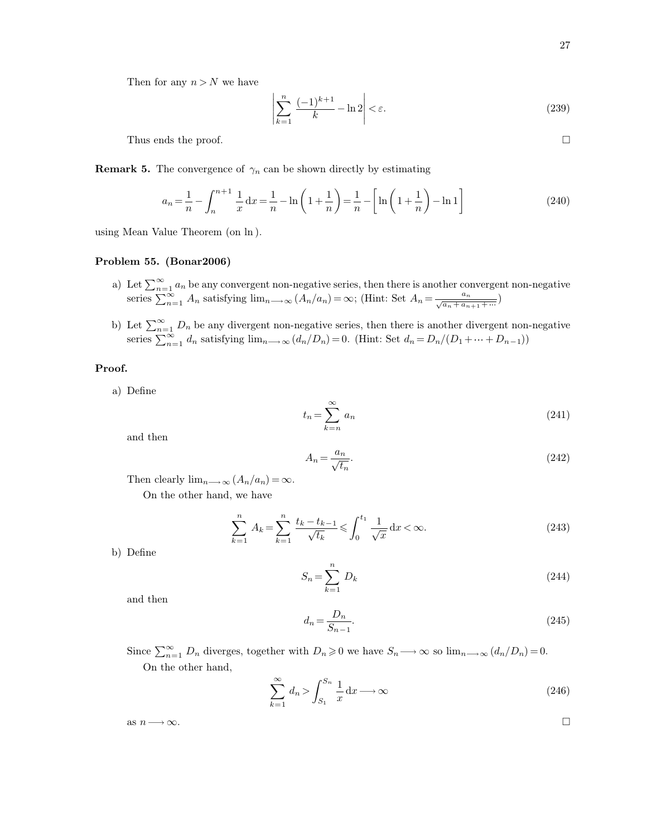Then for any  $n > N$  we have

$$
\sum_{k=1}^{n} \frac{(-1)^{k+1}}{k} - \ln 2 \Big| < \varepsilon. \tag{239}
$$

Thus ends the proof.

**Remark 5.** The convergence of  $\gamma_n$  can be shown directly by estimating

 $\overline{\phantom{a}}$ I  $\overline{\phantom{a}}$  $\overline{\phantom{a}}$  $\overline{\phantom{a}}$ 

$$
a_n = \frac{1}{n} - \int_0^{n+1} \frac{1}{x} dx = \frac{1}{n} - \ln\left(1 + \frac{1}{n}\right) = \frac{1}{n} - \left[\ln\left(1 + \frac{1}{n}\right) - \ln 1\right]
$$
 (240)

using Mean Value Theorem (on ln ).

#### **Problem 55. (Bonar2006)**

- a) Let  $\sum_{n=1}^{\infty} a_n$  be any convergent non-negative series, then there is another convergent non-negative series  $\sum_{n=1}^{\infty} A_n$  satisfying  $\lim_{n\to\infty} (A_n/a_n) = \infty$ ; (Hint: Set  $A_n = \frac{a_n}{\sqrt{a_n + a_n}}$  $rac{a_n}{\sqrt{a_n + a_{n+1} + \dots}}$
- b) Let  $\sum_{n=1}^{\infty} D_n$  be any divergent non-negative series, then there is another divergent non-negative series  $\sum_{n=1}^{\infty} d_n$  satisfying  $\lim_{n\to\infty} (d_n/D_n) = 0$ . (Hint: Set  $d_n = D_n/(D_1 + \dots + D_{n-1})$ )

# **Proof.**

a) Define

$$
t_n = \sum_{k=n}^{\infty} a_k \tag{241}
$$

and then

$$
A_n = \frac{a_n}{\sqrt{t_n}}.\tag{242}
$$

Then clearly  $\lim_{n\longrightarrow\infty} (A_n/a_n) = \infty$ .

On the other hand, we have

$$
\sum_{k=1}^{n} A_k = \sum_{k=1}^{n} \frac{t_k - t_{k-1}}{\sqrt{t_k}} \leq \int_0^{t_1} \frac{1}{\sqrt{x}} dx < \infty.
$$
 (243)

b) Define

$$
S_n = \sum_{k=1}^n D_k \tag{244}
$$

and then

$$
d_n = \frac{D_n}{S_{n-1}}.\tag{245}
$$

Since  $\sum_{n=1}^{\infty} D_n$  diverges, together with  $D_n \geq 0$  we have  $S_n \longrightarrow \infty$  so  $\lim_{n \longrightarrow \infty} (d_n/D_n) = 0$ . On the other hand,

$$
\sum_{k=1}^{\infty} d_n > \int_{S_1}^{S_n} \frac{1}{x} dx \longrightarrow \infty
$$
\n(246)

as  $n \longrightarrow \infty$ .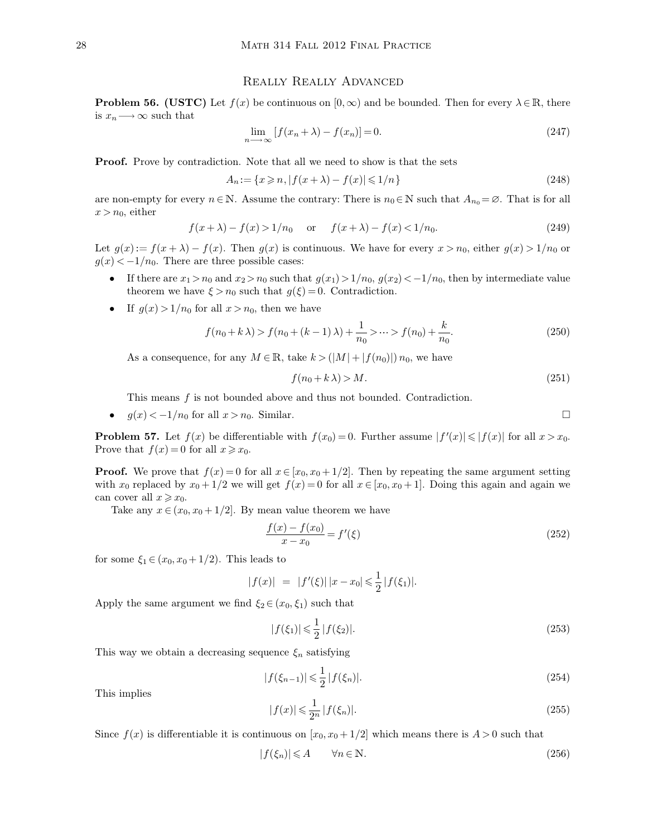# Really Really Advanced

**Problem 56. (USTC)** Let  $f(x)$  be continuous on  $[0, \infty)$  and be bounded. Then for every  $\lambda \in \mathbb{R}$ , there is  $x_n \longrightarrow \infty$  such that

$$
\lim_{n \to \infty} [f(x_n + \lambda) - f(x_n)] = 0.
$$
\n(247)

**Proof.** Prove by contradiction. Note that all we need to show is that the sets

$$
A_n := \{x \geqslant n, |f(x + \lambda) - f(x)| \leqslant 1/n\}
$$
\n<sup>(248)</sup>

are non-empty for every  $n \in \mathbb{N}$ . Assume the contrary: There is  $n_0 \in \mathbb{N}$  such that  $A_{n_0} = \emptyset$ . That is for all  $x > n_0$ , either

$$
f(x + \lambda) - f(x) > 1/n_0
$$
 or  $f(x + \lambda) - f(x) < 1/n_0$ . (249)

Let  $g(x) := f(x + \lambda) - f(x)$ . Then  $g(x)$  is continuous. We have for every  $x > n_0$ , either  $g(x) > 1/n_0$  or  $g(x) < -1/n_0$ . There are three possible cases:

- If there are  $x_1 > n_0$  and  $x_2 > n_0$  such that  $g(x_1) > 1/n_0$ ,  $g(x_2) < -1/n_0$ , then by intermediate value theorem we have  $\xi > n_0$  such that  $g(\xi) = 0$ . Contradiction.
- If  $g(x) > 1/n_0$  for all  $x > n_0$ , then we have

$$
f(n_0 + k\lambda) > f(n_0 + (k - 1)\lambda) + \frac{1}{n_0} > \dots > f(n_0) + \frac{k}{n_0}.
$$
\n(250)

As a consequence, for any  $M \in \mathbb{R}$ , take  $k > (|M| + |f(n_0)|) n_0$ , we have

$$
f(n_0 + k\lambda) > M. \tag{251}
$$

This means  $f$  is not bounded above and thus not bounded. Contradiction.

•  $g(x) < -1/n_0$  for all  $x > n_0$ . Similar.

**Problem 57.** Let  $f(x)$  be differentiable with  $f(x_0) = 0$ . Further assume  $|f'(x)| \leq |f(x)|$  for all  $x > x_0$ . Prove that  $f(x) = 0$  for all  $x \ge x_0$ .

**Proof.** We prove that  $f(x) = 0$  for all  $x \in [x_0, x_0 + 1/2]$ . Then by repeating the same argument setting with  $x_0$  replaced by  $x_0 + 1/2$  we will get  $f(x) = 0$  for all  $x \in [x_0, x_0 + 1]$ . Doing this again and again we can cover all  $x \geq x_0$ .

Take any  $x \in (x_0, x_0 + 1/2]$ . By mean value theorem we have

$$
\frac{f(x) - f(x_0)}{x - x_0} = f'(\xi)
$$
\n(252)

for some  $\xi_1 \in (x_0, x_0 + 1/2)$ . This leads to

$$
|f(x)| = |f'(\xi)| |x - x_0| \leq \frac{1}{2} |f(\xi_1)|.
$$

Apply the same argument we find  $\xi_2 \in (x_0, \xi_1)$  such that

$$
|f(\xi_1)| \leq \frac{1}{2} |f(\xi_2)|. \tag{253}
$$

This way we obtain a decreasing sequence  $\xi_n$  satisfying

$$
|f(\xi_{n-1})| \leq \frac{1}{2} |f(\xi_n)|. \tag{254}
$$

This implies

$$
|f(x)| \leq \frac{1}{2^n} |f(\xi_n)|. \tag{255}
$$

Since  $f(x)$  is differentiable it is continuous on  $[x_0, x_0 + 1/2]$  which means there is  $A > 0$  such that

$$
|f(\xi_n)| \leqslant A \qquad \forall n \in \mathbb{N}.\tag{256}
$$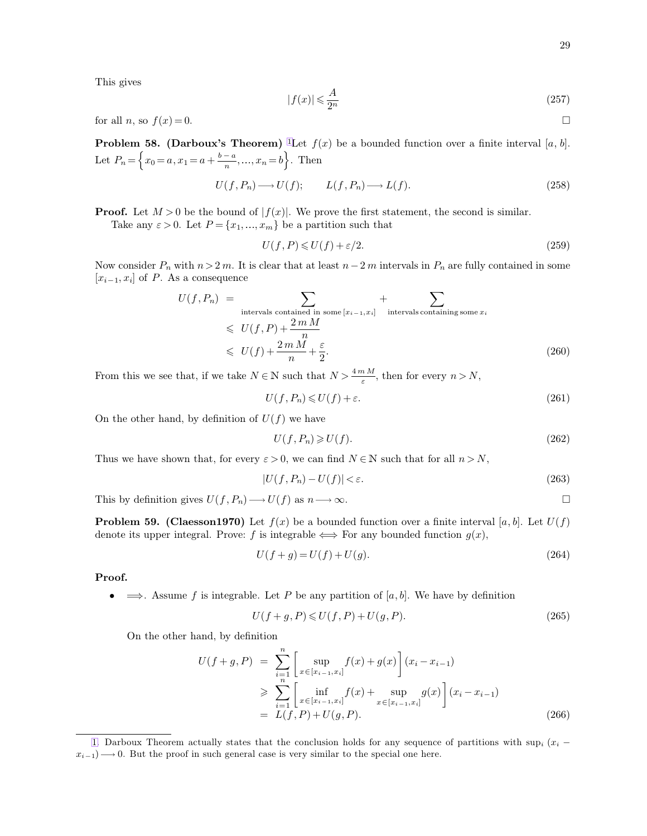This gives

<span id="page-28-0"></span>
$$
|f(x)| \leqslant \frac{A}{2^n} \tag{257}
$$

for all  $n$ , so  $f(x) = 0$ .

**Problem 58. (Darboux's Theorem)** <sup>1</sup>Let  $f(x)$  be a bounded function over a finite interval [a, b]. Let  $P_n = \left\{ x_0 = a, x_1 = a + \frac{b-a}{n}, ..., x_n = b \right\}$ . Then

$$
U(f, P_n) \longrightarrow U(f); \qquad L(f, P_n) \longrightarrow L(f). \tag{258}
$$

**Proof.** Let  $M > 0$  be the bound of  $|f(x)|$ . We prove the first statement, the second is similar.

Take any  $\varepsilon > 0$ . Let  $P = \{x_1, ..., x_m\}$  be a partition such that

$$
U(f, P) \leq U(f) + \varepsilon/2. \tag{259}
$$

Now consider  $P_n$  with  $n > 2 m$ . It is clear that at least  $n - 2 m$  intervals in  $P_n$  are fully contained in some  $[x_{i-1}, x_i]$  of P. As a consequence

$$
U(f, P_n) = \sum_{\text{intervals contained in some } [x_{i-1}, x_i]} + \sum_{\text{intervals containing some } x_i} \n\leq U(f, P) + \frac{2 \, m \, M}{n} \n\leq U(f) + \frac{2 \, m \, M}{n} + \frac{\varepsilon}{2}.
$$
\n(260)

From this we see that, if we take  $N \in \mathbb{N}$  such that  $N > \frac{4 m M}{\varepsilon}$ , then for every  $n > N$ ,

$$
U(f, P_n) \leqslant U(f) + \varepsilon. \tag{261}
$$

On the other hand, by definition of  $U(f)$  we have

$$
U(f, P_n) \geqslant U(f). \tag{262}
$$

Thus we have shown that, for every  $\varepsilon > 0$ , we can find  $N \in \mathbb{N}$  such that for all  $n > N$ ,

$$
|U(f, P_n) - U(f)| < \varepsilon. \tag{263}
$$

This by definition gives  $U(f, P_n) \longrightarrow U(f)$  as  $n \longrightarrow \infty$ .

**Problem 59. (Claesson1970)** Let  $f(x)$  be a bounded function over a finite interval [a, b]. Let  $U(f)$ denote its upper integral. Prove: f is integrable  $\iff$  For any bounded function  $g(x)$ ,

$$
U(f+g) = U(f) + U(g). \tag{264}
$$

**Proof.**

•  $\implies$  Assume f is integrable. Let P be any partition of [a, b]. We have by definition

$$
U(f+g,P) \leqslant U(f,P) + U(g,P). \tag{265}
$$

On the other hand, by definition

$$
U(f+g, P) = \sum_{i=1}^{n} \left[ \sup_{x \in [x_{i-1}, x_i]} f(x) + g(x) \right] (x_i - x_{i-1})
$$
  
\n
$$
\geqslant \sum_{i=1}^{n} \left[ \inf_{x \in [x_{i-1}, x_i]} f(x) + \sup_{x \in [x_{i-1}, x_i]} g(x) \right] (x_i - x_{i-1})
$$
  
\n
$$
= L(f, P) + U(g, P). \tag{266}
$$

[<sup>1.</sup>](#page-28-0) Darboux Theorem actually states that the conclusion holds for any sequence of partitions with sup<sub>i</sub>  $(x_i$  $x_{i-1}$ )  $\longrightarrow$  0. But the proof in such general case is very similar to the special one here.